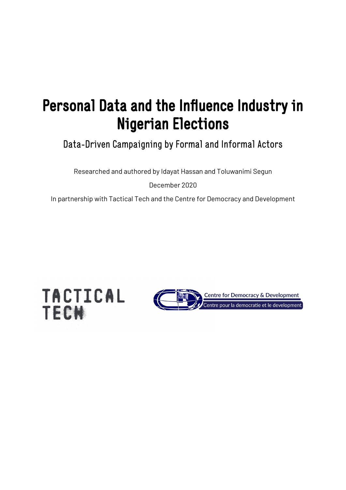# Personal Data and the Influence Industry in Nigerian Elections

Data-Driven Campaigning by Formal and Informal Actors

Researched and authored by Idayat Hassan and Toluwanimi Segun

December 2020

In partnership with Tactical Tech and the Centre for Democracy and Development



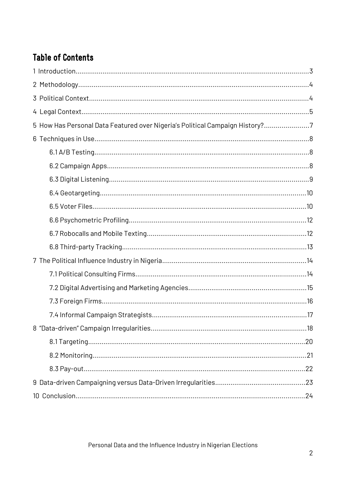## **Table of Contents**

| 5 How Has Personal Data Featured over Nigeria's Political Campaign History?7 |  |
|------------------------------------------------------------------------------|--|
|                                                                              |  |
|                                                                              |  |
|                                                                              |  |
|                                                                              |  |
|                                                                              |  |
|                                                                              |  |
|                                                                              |  |
|                                                                              |  |
|                                                                              |  |
|                                                                              |  |
|                                                                              |  |
|                                                                              |  |
|                                                                              |  |
|                                                                              |  |
|                                                                              |  |
|                                                                              |  |
|                                                                              |  |
|                                                                              |  |
|                                                                              |  |
|                                                                              |  |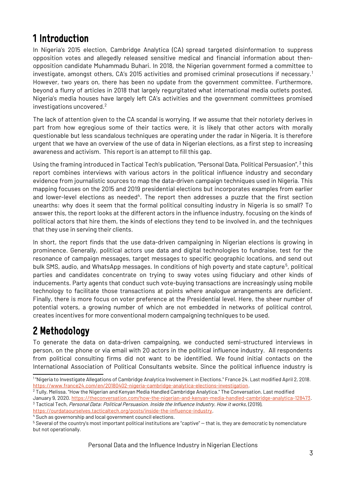## <span id="page-2-0"></span>1 Introduction

In Nigeria's 2015 election, Cambridge Analytica (CA) spread targeted disinformation to suppress opposition votes and allegedly released sensitive medical and financial information about thenopposition candidate Muhammadu Buhari. In 2018, the Nigerian government formed a committee to investigate, amongst others, CA's 2015 activities and promised criminal prosecutions if necessary.[1](#page-2-2) However, two years on, there has been no update from the government committee. Furthermore, beyond a flurry of articles in 2018 that largely regurgitated what international media outlets posted, Nigeria's media houses have largely left CA's activities and the government committees promised investigations uncovered.[2](#page-2-3)

The lack of attention given to the CA scandal is worrying. If we assume that their notoriety derives in part from how egregious some of their tactics were, it is likely that other actors with morally questionable but less scandalous techniques are operating under the radar in Nigeria. It is therefore urgent that we have an overview of the use of data in Nigerian elections, as a first step to increasing awareness and activism. This report is an attempt to fill this gap.

Using the framing introduced in Tactical Tech's publication, "Personal Data, Political Persuasion", <sup>[3](#page-2-4)</sup> this report combines interviews with various actors in the political influence industry and secondary evidence from journalistic sources to map the data-driven campaign techniques used in Nigeria. This mapping focuses on the 2015 and 2019 presidential elections but incorporates examples from earlier and lower-level elections as needed<sup>[4](#page-2-5)</sup>. The report then addresses a puzzle that the first section unearths: why does it seem that the formal political consulting industry in Nigeria is so small? To answer this, the report looks at the different actors in the influence industry, focusing on the kinds of political actors that hire them, the kinds of elections they tend to be involved in, and the techniques that they use in serving their clients.

In short, the report finds that the use data-driven campaigning in Nigerian elections is growing in prominence. Generally, political actors use data and digital technologies to fundraise, test for the resonance of campaign messages, target messages to specific geographic locations, and send out bulk SMS, audio, and WhatsApp messages. In conditions of high poverty and state capture<sup>[5](#page-2-6)</sup>, political parties and candidates concentrate on trying to sway votes using fiduciary and other kinds of inducements. Party agents that conduct such vote-buying transactions are increasingly using mobile technology to facilitate those transactions at points where analogue arrangements are deficient. Finally, there is more focus on voter preference at the Presidential level. Here, the sheer number of potential voters, a growing number of which are not embedded in networks of political control, creates incentives for more conventional modern campaigning techniques to be used.

## <span id="page-2-1"></span>2 Methodology

To generate the data on data-driven campaigning, we conducted semi-structured interviews in person, on the phone or via email with 20 actors in the political influence industry. All respondents from political consulting firms did not want to be identified. We found initial contacts on the International Association of Political Consultants website. Since the political influence industry is

Personal Data and the Influence Industry in Nigerian Elections

<span id="page-2-2"></span><sup>1</sup> "Nigeria to Investigate Allegations of Cambridge Analytica Involvement in Elections." France 24. Last modified April 2, 2018. <https://www.france24.com/en/20180402-nigeria-cambridge-analytica-elections-investigation>.

<span id="page-2-3"></span><sup>2</sup> Tully, Melissa. "How the Nigerian and Kenyan Media Handled Cambridge Analytica." The Conversation. Last modified January 9, 2020. [https://theconversation.com/how-the-nigerian-and-kenyan-media-handled-cambridge-analytica-128473.](https://theconversation.com/how-the-nigerian-and-kenyan-media-handled-cambridge-analytica-128473)

<span id="page-2-4"></span><sup>&</sup>lt;sup>3</sup> Tactical Tech, Personal Data: Political Persuasion. Inside the Influence Industry. How it works, (2019),

<https://ourdataourselves.tacticaltech.org/posts/inside-the-influence-industry>.

<span id="page-2-5"></span><sup>4</sup> Such as governorship and local government council elections.

<span id="page-2-6"></span> $^5$  Several of the country's most important political institutions are "captive" — that is, they are democratic by nomenclature but not operationally.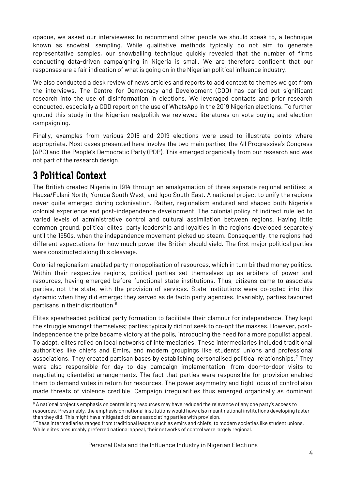opaque, we asked our interviewees to recommend other people we should speak to, a technique known as snowball sampling. While qualitative methods typically do not aim to generate representative samples, our snowballing technique quickly revealed that the number of firms conducting data-driven campaigning in Nigeria is small. We are therefore confident that our responses are a fair indication of what is going on in the Nigerian political influence industry.

We also conducted a desk review of news articles and reports to add context to themes we got from the interviews. The Centre for Democracy and Development (CDD) has carried out significant research into the use of disinformation in elections. We leveraged contacts and prior research conducted, especially a CDD report on the use of WhatsApp in the 2019 Nigerian elections. To further ground this study in the Nigerian realpolitik we reviewed literatures on vote buying and election campaigning.

Finally, examples from various 2015 and 2019 elections were used to illustrate points where appropriate. Most cases presented here involve the two main parties, the All Progressive's Congress (APC) and the People's Democratic Party (PDP). This emerged organically from our research and was not part of the research design.

## <span id="page-3-0"></span>3 Political Context

The British created Nigeria in 1914 through an amalgamation of three separate regional entities: a Hausa/Fulani North, Yoruba South West, and Igbo South East. A national project to unify the regions never quite emerged during colonisation. Rather, regionalism endured and shaped both Nigeria's colonial experience and post-independence development. The colonial policy of indirect rule led to varied levels of administrative control and cultural assimilation between regions. Having little common ground, political elites, party leadership and loyalties in the regions developed separately until the 1950s, when the independence movement picked up steam. Consequently, the regions had different expectations for how much power the British should yield. The first major political parties were constructed along this cleavage.

Colonial regionalism enabled party monopolisation of resources, which in turn birthed money politics. Within their respective regions, political parties set themselves up as arbiters of power and resources, having emerged before functional state institutions. Thus, citizens came to associate parties, not the state, with the provision of services. State institutions were co-opted into this dynamic when they did emerge; they served as de facto party agencies. Invariably, parties favoured partisans in their distribution.[6](#page-3-1)

Elites spearheaded political party formation to facilitate their clamour for independence. They kept the struggle amongst themselves; parties typically did not seek to co-opt the masses. However, postindependence the prize became victory at the polls, introducing the need for a more populist appeal. To adapt, elites relied on local networks of intermediaries. These intermediaries included traditional authorities like chiefs and Emirs, and modern groupings like students' unions and professional associations. They created partisan bases by establishing personalised political relationships.<sup>[7](#page-3-2)</sup> They were also responsible for day to day campaign implementation, from door-to-door visits to negotiating clientelist arrangements. The fact that parties were responsible for provision enabled them to demand votes in return for resources. The power asymmetry and tight locus of control also made threats of violence credible. Campaign irregularities thus emerged organically as dominant

<span id="page-3-1"></span> $6$  A national project's emphasis on centralising resources may have reduced the relevance of any one party's access to resources. Presumably, the emphasis on national institutions would have also meant national institutions developing faster than they did. This might have mitigated citizens associating parties with provision.

<span id="page-3-2"></span> $^7$  These intermediaries ranged from traditional leaders such as emirs and chiefs, to modern societies like student unions. While elites presumably preferred national appeal, their networks of control were largely regional.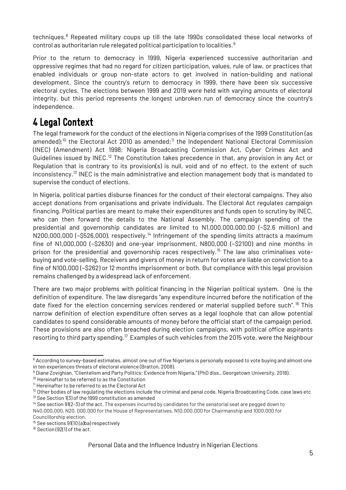techniques.<sup>[8](#page-4-1)</sup> Repeated military coups up till the late 1990s consolidated these local networks of control as authoritarian rule relegated political participation to localities.<sup>[9](#page-4-2)</sup>

Prior to the return to democracy in 1999, Nigeria experienced successive authoritarian and oppressive regimes that had no regard for citizen participation, values, rule of law, or practices that enabled individuals or group non-state actors to get involved in nation-building and national development. Since the country's return to democracy in 1999, there have been six successive electoral cycles. The elections between 1999 and 2019 were held with varying amounts of electoral integrity, but this period represents the longest unbroken run of democracy since the country's independence.

## <span id="page-4-0"></span>4 Legal Context

The legal framework for the conduct of the elections in Nigeria comprises of the 1999 Constitution (as amended);<sup>[10](#page-4-3)</sup> the Electoral Act 2010 as amended;<sup>[11](#page-4-4)</sup> the Independent National Electoral Commission (INEC) (Amendment) Act 1998; Nigeria Broadcasting Commission Act, Cyber Crimes Act and Guidelines issued by INEC.[12](#page-4-5) The Constitution takes precedence in that, any provision in any Act or Regulation that is contrary to its provision(s) is null, void and of no effect, to the extent of such inconsistency.[13](#page-4-6) INEC is the main administrative and election management body that is mandated to supervise the conduct of elections.

In Nigeria, political parties disburse finances for the conduct of their electoral campaigns. They also accept donations from organisations and private individuals. The Electoral Act regulates campaign financing. Political parties are meant to make their expenditures and funds open to scrutiny by INEC, who can then forward the details to the National Assembly. The campaign spending of the presidential and governorship candidates are limited to N1,000,000,000.00 (~\$2.6 million) and N200,000,000 (~\$526,000), respectively.<sup>[14](#page-4-7)</sup> Infringement of the spending limits attracts a maximum fine of N1,000,000 (~\$2630) and one-year imprisonment, N800,000 (~\$2100) and nine months in prison for the presidential and governorship races respectively.<sup>[15](#page-4-8)</sup> The law also criminalises votebuying and vote-selling. Receivers and givers of money in return for votes are liable on conviction to a fine of N100,000 (~\$262) or 12 months imprisonment or both. But compliance with this legal provision remains challenged by a widespread lack of enforcement.

There are two major problems with political financing in the Nigerian political system. One is the definition of expenditure. The law disregards "any expenditure incurred before the notification of the date fixed for the election concerning services rendered or material supplied before such".[16](#page-4-9) This narrow definition of election expenditure often serves as a legal loophole that can allow potential candidates to spend considerable amounts of money before the official start of the campaign period. These provisions are also often breached during election campaigns, with political office aspirants resorting to third party spending.<sup>17</sup> Examples of such vehicles from the 2015 vote, were the Neighbour

<span id="page-4-1"></span><sup>8</sup> According to survey-based estimates, almost one out of five Nigerians is personally exposed to vote buying and almost one in ten experiences threats of electoral violence (Bratton, 2008).

<span id="page-4-2"></span><sup>9</sup> Diane Zovighian, "Clientelism and Party Politics: Evidence from Nigeria," (PhD diss., Georgetown University, 2018).

<span id="page-4-3"></span><sup>&</sup>lt;sup>10</sup> Hereinafter to be referred to as the Constitution

<span id="page-4-4"></span><sup>11</sup> Hereinafter to be referred to as the Electoral Act

<span id="page-4-6"></span><span id="page-4-5"></span><sup>&</sup>lt;sup>12</sup> Other bodies of law regulating the elections include the criminal and penal code, Nigeria Broadcasting Code, case laws etc <sup>13</sup> See Section 1(3) of the 1999 constitution as amended

<span id="page-4-7"></span> $14$  See section 91(2-3) of the act. The expenses incurred by candidates for the senatorial seat are pegged down to N40,000,000, N20, 000,000 for the House of Representatives, N10,000,000 for Chairmanship and 1000,000 for Councillorship election.

<span id="page-4-8"></span><sup>&</sup>lt;sup>15</sup> See sections 91(10 (a)ba) respectively

<span id="page-4-9"></span><sup>&</sup>lt;sup>16</sup> Section (92(1) of the act.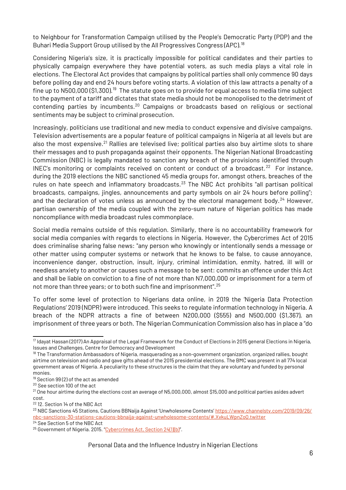to Neighbour for Transformation Campaign utilised by the People's Democratic Party (PDP) and the Buhari Media Support Group utilised by the All Progressives Congress (APC).<sup>[18](#page-5-0)</sup>

Considering Nigeria's size, it is practically impossible for political candidates and their parties to physically campaign everywhere they have potential voters, as such media plays a vital role in elections. The Electoral Act provides that campaigns by political parties shall only commence 90 days before polling day and end 24 hours before voting starts. A violation of this law attracts a penalty of a fine up to N500,000 (\$1,300).[19](#page-5-1) The statute goes on to provide for equal access to media time subject to the payment of a tariff and dictates that state media should not be monopolised to the detriment of contending parties by incumbents.<sup>[20](#page-5-2)</sup> Campaigns or broadcasts based on religious or sectional sentiments may be subject to criminal prosecution.

Increasingly, politicians use traditional and new media to conduct expensive and divisive campaigns. Television advertisements are a popular feature of political campaigns in Nigeria at all levels but are also the most expensive.<sup>[21](#page-5-3)</sup> Rallies are televised live; political parties also buy airtime slots to share their messages and to push propaganda against their opponents. The Nigerian National Broadcasting Commission (NBC) is legally mandated to sanction any breach of the provisions identified through INEC's monitoring or complaints received on content or conduct of a broadcast.<sup>[22](#page-5-4)</sup> For instance, during the 2019 elections the NBC sanctioned 45 media groups for, amongst others, breaches of the rules on hate speech and inflammatory broadcasts.<sup>[23](#page-5-5)</sup> The NBC Act prohibits "all partisan political broadcasts, campaigns, jingles, announcements and party symbols on air 24 hours before polling"; and the declaration of votes unless as announced by the electoral management body.<sup>[24](#page-5-6)</sup> However, partisan ownership of the media coupled with the zero-sum nature of Nigerian politics has made noncompliance with media broadcast rules commonplace.

Social media remains outside of this regulation. Similarly, there is no accountability framework for social media companies with regards to elections in Nigeria. However, the Cybercrimes Act of 2015 does criminalise sharing false news: "any person who knowingly or intentionally sends a message or other matter using computer systems or network that he knows to be false, to cause annoyance, inconvenience danger, obstruction, insult, injury, criminal intimidation, enmity, hatred, ill will or needless anxiety to another or causes such a message to be sent: commits an offence under this Act and shall be liable on conviction to a fine of not more than N7,000,000 or imprisonment for a term of not more than three years; or to both such fine and imprisonment".<sup>[25](#page-5-7)</sup>

To offer some level of protection to Nigerians data online, in 2019 the 'Nigeria Data Protection Regulations' 2019 (NDPR) were introduced. This seeks to regulate information technology in Nigeria. A breach of the NDPR attracts a fine of between N200,000 (\$555) and N500,000 (\$1,367), an imprisonment of three years or both. The Nigerian Communication Commission also has in place a "do

<sup>&</sup>lt;sup>17</sup> Idavat Hassan (2017) An Appraisal of the Legal Framework for the Conduct of Elections in 2015 general Elections in Nigeria, Issues and Challenges, Centre for Democracy and Development

<span id="page-5-0"></span><sup>&</sup>lt;sup>18</sup> The Transformation Ambassadors of Nigeria, masquerading as a non-government organization, organized rallies, bought airtime on television and radio and gave gifts ahead of the 2015 presidential elections. The BMC was present in all 774 local government areas of Nigeria. A peculiarity to these structures is the claim that they are voluntary and funded by personal monies.

<span id="page-5-1"></span><sup>&</sup>lt;sup>19</sup> Section 99(2) of the act as amended

<span id="page-5-2"></span><sup>20</sup> See section 100 of the act

<span id="page-5-3"></span> $21$  One hour airtime during the elections cost an average of N5,000,000, almost \$15,000 and political parties asides advert cost.

<span id="page-5-4"></span><sup>22</sup> 12. Section 14 of the NBC Act

<span id="page-5-5"></span><sup>&</sup>lt;sup>23</sup> NBC Sanctions 45 Stations, Cautions BBNaija Against 'Unwholesome Contents' [https://www.channelstv.com/2019/09/26/](https://www.channelstv.com/2019/09/26/nbc-sanctions-30-stations-cautions-bbnaija-against-unwholesome-contents/#.XvkuLWpnZoQ.twitter) [nbc-sanctions-30-stations-cautions-bbnaija-against-unwholesome-contents/#.XvkuLWpnZoQ.twitter](https://www.channelstv.com/2019/09/26/nbc-sanctions-30-stations-cautions-bbnaija-against-unwholesome-contents/#.XvkuLWpnZoQ.twitter)

<span id="page-5-6"></span><sup>24</sup> See Section 5 of the NBC Act

<span id="page-5-7"></span><sup>&</sup>lt;sup>25</sup> Government of Nigeria. 2015. "Cybercrimes Act, Section  $24(1)(b)$ ".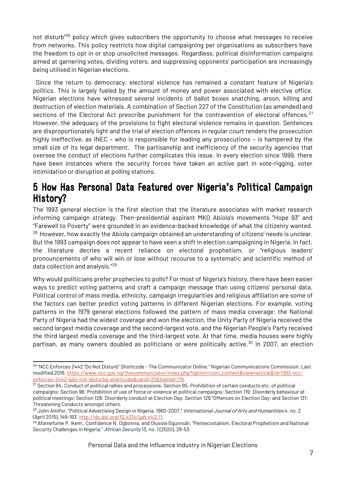not disturb<sup>"[26](#page-6-1)</sup> policy which gives subscribers the opportunity to choose what messages to receive from networks. This policy restricts how digital campaigning per organisations as subscribers have the freedom to opt in or stop unsolicited messages. Regardless, political disinformation campaigns aimed at garnering votes, dividing voters, and suppressing opponents' participation are increasingly being utilised in Nigerian elections.

 Since the return to democracy, electoral violence has remained a constant feature of Nigeria's politics. This is largely fueled by the amount of money and power associated with elective office. Nigerian elections have witnessed several incidents of ballot boxes snatching, arson, killing and destruction of election materials. A combination of Section 227 of the Constitution (as amended) and sections of the Electoral Act prescribe punishment for the contravention of electoral offences.<sup>[27](#page-6-2)</sup> However, the adequacy of the provisions to fight electoral violence remains in question. Sentences are disproportionately light and the trial of election offences in regular court renders the prosecution highly ineffective, as INEC – who is responsible for leading any prosecutions – is hampered by the small size of its legal department. The partisanship and inefficiency of the security agencies that oversee the conduct of elections further complicates this issue. In every election since 1999, there have been instances where the security forces have taken an active part in vote-rigging, voter intimidation or disruption at polling stations.

### <span id="page-6-0"></span>5 How Has Personal Data Featured over Nigeria's Political Campaign History?

The 1993 general election is the first election that the literature associates with market research informing campaign strategy. Then-presidential aspirant MKO Abiola's movements "Hope 93" and "Farewell to Poverty" were grounded in an evidence-backed knowledge of what the citizenry wanted.  $28$  However, how exactly the Abiola campaign obtained an understanding of citizens' needs is unclear. But the 1993 campaign does not appear to have seen a shift in election campaigning in Nigeria. In fact, the literature decries a recent reliance on electoral prophetism, or "religious leaders' pronouncements of who will win or lose without recourse to a systematic and scientific method of data collection and analysis."[29](#page-6-4)

Why would politicians prefer prophecies to polls? For most of Nigeria's history, there have been easier ways to predict voting patterns and craft a campaign message than using citizens' personal data. Political control of mass media, ethnicity, campaign irregularities and religious affiliation are some of the factors can better predict voting patterns in different Nigerian elections. For example, voting patterns in the 1979 general elections followed the pattern of mass media coverage: the National Party of Nigeria had the widest coverage and won the election, the Unity Party of Nigeria received the second largest media coverage and the second-largest vote, and the Nigerian People's Party received the third largest media coverage and the third-largest vote. At that time, media houses were highly partisan, as many owners doubled as politicians or were politically active.<sup>30</sup> In 2007, an election

<span id="page-6-1"></span><sup>26</sup> "NCC Enforces 2442 "Do Not Disturb" Shortcode - The Communicator Online." Nigerian Communications Commission. Last modified 2016. [https://www.ncc.gov.ng/thecommunicator/index.php?option=com\\_content&view=article&id=1363:ncc](https://www.ncc.gov.ng/thecommunicator/index.php?option=com_content&view=article&id=1363:ncc-enforces-2442-qdo-not-disturbq-shortcode&catid=25&Itemid=179)[enforces-2442-qdo-not-disturbq-shortcode&catid=25&Itemid=179.](https://www.ncc.gov.ng/thecommunicator/index.php?option=com_content&view=article&id=1363:ncc-enforces-2442-qdo-not-disturbq-shortcode&catid=25&Itemid=179)

<span id="page-6-2"></span><sup>27</sup> Section 94: Conduct of political rallies and processions; Section 95: Prohibition of certain conducts etc. of political campaigns; Section 96: Prohibition of use of force or violence at political campaigns; Section 119: Disorderly behaviour at political meetings; Section 128: Disorderly conduct at Election Day; Section 129 "Offences on Election Day; and Section 131: Threatening Conducts amongst others.

<span id="page-6-3"></span><sup>&</sup>lt;sup>28</sup> John Amifor, "Political Advertising Design in Nigeria, 1960-2007." International Journal of Arts and Humanities 4, no. 2 (April 2015), 149-163.<http://dx.doi.org/10.4314/ijah.v4i2.11>.

<span id="page-6-4"></span><sup>&</sup>lt;sup>29</sup> Afamefume P. Ikem., Confidence N. Ogbonna, and Olusola Ogunnubi. "Pentecostalism, Electoral Prophetism and National Security Challenges in Nigeria." African Security 13, no. 1(2020), 28-53.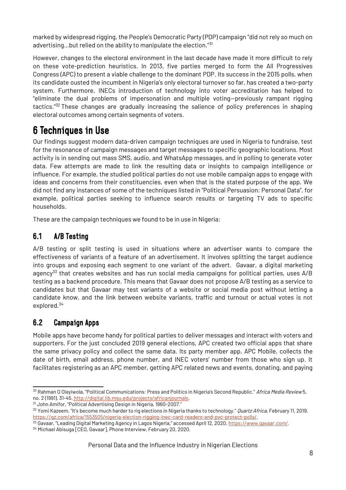marked by widespread rigging, the People's Democratic Party (PDP) campaign "did not rely so much on advertising...but relied on the ability to manipulate the election."[31](#page-7-3)

However, changes to the electoral environment in the last decade have made it more difficult to rely on these vote-prediction heuristics. In 2013, five parties merged to form the All Progressives Congress (APC) to present a viable challenge to the dominant PDP. Its success in the 2015 polls, when its candidate ousted the incumbent in Nigeria's only electoral turnover so far, has created a two-party system. Furthermore, INECs introduction of technology into voter accreditation has helped to "eliminate the dual problems of impersonation and multiple voting—previously rampant rigging tactics."[32](#page-7-4) These changes are gradually increasing the salience of policy preferences in shaping electoral outcomes among certain segments of voters.

## <span id="page-7-2"></span>6 Techniques in Use

Our findings suggest modern data-driven campaign techniques are used in Nigeria to fundraise, test for the resonance of campaign messages and target messages to specific geographic locations. Most activity is in sending out mass SMS, audio, and WhatsApp messages, and in polling to generate voter data. Few attempts are made to link the resulting data or insights to campaign intelligence or influence. For example, the studied political parties do not use mobile campaign apps to engage with ideas and concerns from their constituencies, even when that is the stated purpose of the app. We did not find any instances of some of the techniques listed in "Political Persuasion: Personal Data", for example, political parties seeking to influence search results or targeting TV ads to specific households.

These are the campaign techniques we found to be in use in Nigeria:

### <span id="page-7-1"></span>6.1 A/B Testing

A/B testing or split testing is used in situations where an advertiser wants to compare the effectiveness of variants of a feature of an advertisement. It involves splitting the target audience into groups and exposing each segment to one variant of the advert. Gavaar, a digital marketing agency<sup>[33](#page-7-5)</sup> that creates websites and has run social media campaigns for political parties, uses A/B testing as a backend procedure. This means that Gavaar does not propose A/B testing as a service to candidates but that Gavaar may test variants of a website or social media post without letting a candidate know, and the link between website variants, traffic and turnout or actual votes is not explored.[34](#page-7-6)

### <span id="page-7-0"></span>6.2 Campaign Apps

Mobile apps have become handy for political parties to deliver messages and interact with voters and supporters. For the just concluded 2019 general elections, APC created two official apps that share the same privacy policy and collect the same data. Its party member app, APC Mobile, collects the date of birth, email address, phone number, and INEC voters' number from those who sign up. It facilitates registering as an APC member, getting APC related news and events, donating, and paying

<sup>&</sup>lt;sup>30</sup> Rahman O Olayiwola, "Political Communications: Press and Politics in Nigeria's Second Republic." Africa Media Review 5, no. 2 (1991), 31-45[. http://digital.lib.msu.edu/projects/africanjournals](http://digital.lib.msu.edu/projects/africanjournals).

<span id="page-7-3"></span><sup>31</sup> John Amifor, "Political Advertising Design in Nigeria, 1960-2007."

<span id="page-7-4"></span><sup>&</sup>lt;sup>32</sup> Yomi Kazeem, "It's become much harder to rig elections in Nigeria thanks to technology." *Quartz Africa*, February 11, 2019. <https://qz.com/africa/1553505/nigeria-election-rigging-inec-card-readers-and-pvc-protect-polls/>.

<span id="page-7-6"></span><span id="page-7-5"></span><sup>33</sup> Gavaar, "Leading Digital Marketing Agency in Lagos Nigeria," accessed April 12, 2020, <https://www.gavaar.com/>. <sup>34</sup> Michael Abisuga [CEO, Gavaar], Phone Interview, February 20, 2020.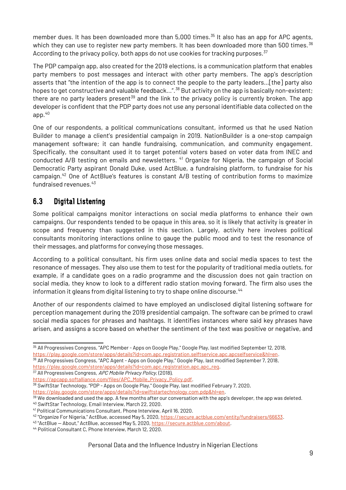member dues. It has been downloaded more than 5,000 times.<sup>[35](#page-8-1)</sup> It also has an app for APC agents, which they can use to register new party members. It has been downloaded more than 500 times.<sup>[36](#page-8-2)</sup> According to the privacy policy, both apps do not use cookies for tracking purposes. $37$ 

The PDP campaign app, also created for the 2019 elections, is a communication platform that enables party members to post messages and interact with other party members. The app's description asserts that "the intention of the app is to connect the people to the party leaders…[the] party also hopes to get constructive and valuable feedback...".<sup>[38](#page-8-4)</sup> But activity on the app is basically non-existent; there are no party leaders present<sup>[39](#page-8-5)</sup> and the link to the privacy policy is currently broken. The app developer is confident that the PDP party does not use any personal identifiable data collected on the app.[40](#page-8-6)

One of our respondents, a political communications consultant, informed us that he used Nation Builder to manage a client's presidential campaign in 2019. NationBuilder is a one-stop campaign management software; it can handle fundraising, communication, and community engagement. Specifically, the consultant used it to target potential voters based on voter data from INEC and conducted A/B testing on emails and newsletters. [41](#page-8-7) Organize for Nigeria, the campaign of Social Democratic Party aspirant Donald Duke, used ActBlue, a fundraising platform, to fundraise for his campaign.[42](#page-8-8) One of ActBlue's features is constant A/B testing of contribution forms to maximize fundraised revenues. $43$ 

### <span id="page-8-0"></span>6.3 Digital Listening

Some political campaigns monitor interactions on social media platforms to enhance their own campaigns. Our respondents tended to be opaque in this area, so it is likely that activity is greater in scope and frequency than suggested in this section. Largely, activity here involves political consultants monitoring interactions online to gauge the public mood and to test the resonance of their messages, and platforms for conveying those messages.

According to a political consultant, his firm uses online data and social media spaces to test the resonance of messages. They also use them to test for the popularity of traditional media outlets, for example, if a candidate goes on a radio programme and the discussion does not gain traction on social media, they know to look to a different radio station moving forward. The firm also uses the information it gleans from digital listening to try to shape online discourse.<sup>[44](#page-8-10)</sup>

Another of our respondents claimed to have employed an undisclosed digital listening software for perception management during the 2019 presidential campaign. The software can be primed to crawl social media spaces for phrases and hashtags. It identifies instances where said key phrases have arisen, and assigns a score based on whether the sentiment of the text was positive or negative, and

<span id="page-8-3"></span><sup>37</sup> All Progressives Congress, APC Mobile Privacy Policy, (2018),

<span id="page-8-6"></span><sup>40</sup> SwiftStar Technology, Email Interview, March 22, 2020.

<span id="page-8-1"></span><sup>35</sup> All Progressives Congress, "APC Member - Apps on Google Play," Google Play, last modified September 12, 2018, <https://play.google.com/store/apps/details?id=com.apc.registration.selftservice.apc.apcselfservice&hl=en>. <sup>36</sup> All Progressives Congress, "APC Agent - Apps on Google Play," Google Play, last modified September 7, 2018,

<span id="page-8-2"></span>[https://play.google.com/store/apps/details?id=com.apc.registration.apc.apc\\_reg](https://play.google.com/store/apps/details?id=com.apc.registration.apc.apc_reg).

[https://apcapp.softalliance.com/files/APC\\_Mobile\\_Privacy\\_Policy.pdf](https://apcapp.softalliance.com/files/APC_Mobile_Privacy_Policy.pdf).

<span id="page-8-4"></span><sup>38</sup> SwiftStar Technology, "PDP - Apps on Google Play," Google Play, last modified February 7, 2020, <https://play.google.com/store/apps/details?id=swiftstartechnology.com.pdp&hl=en>.

<span id="page-8-5"></span> $39$  We downloaded and used the app. A few months after our conversation with the app's developer, the app was deleted.

<span id="page-8-7"></span><sup>41</sup> Political Communications Consultant, Phone Interview, April 16, 2020.

<span id="page-8-8"></span><sup>&</sup>lt;sup>42</sup> "Organize For Nigeria," ActBlue, accessed May 5, 2020, [https://secure.actblue.com/entity/fundraisers/66633.](https://secure.actblue.com/entity/fundraisers/66633)

<span id="page-8-9"></span><sup>43</sup> "ActBlue — About," ActBlue, accessed May 5, 2020,<https://secure.actblue.com/about>.

<span id="page-8-10"></span><sup>44</sup> Political Consultant C, Phone Interview, March 12, 2020.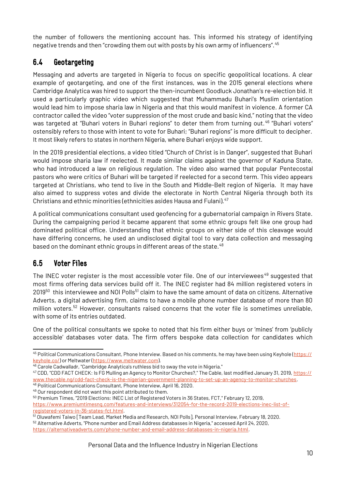the number of followers the mentioning account has. This informed his strategy of identifying negative trends and then "crowding them out with posts by his own army of influencers".  $^{45}$  $^{45}$  $^{45}$ 

### <span id="page-9-1"></span>6.4 Geotargeting

Messaging and adverts are targeted in Nigeria to focus on specific geopolitical locations. A clear example of geotargeting, and one of the first instances, was in the 2015 general elections where Cambridge Analytica was hired to support the then-incumbent Goodluck Jonathan's re-election bid. It used a particularly graphic video which suggested that Muhammadu Buhari's Muslim orientation would lead him to impose sharia law in Nigeria and that this would manifest in violence. A former CA contractor called the video "voter suppression of the most crude and basic kind," noting that the video was targeted at "Buhari voters in Buhari regions" to deter them from turning out.<sup>[46](#page-9-3)</sup> "Buhari voters" ostensibly refers to those with intent to vote for Buhari; "Buhari regions" is more difficult to decipher. It most likely refers to states in northern Nigeria, where Buhari enjoys wide support.

In the 2019 presidential elections, a video titled "Church of Christ is in Danger", suggested that Buhari would impose sharia law if reelected. It made similar claims against the governor of Kaduna State, who had introduced a law on religious regulation. The video also warned that popular Pentecostal pastors who were critics of Buhari will be targeted if reelected for a second term. This video appears targeted at Christians, who tend to live in the South and Middle-Belt region of Nigeria. It may have also aimed to suppress votes and divide the electorate in North Central Nigeria through both its Christians and ethnic minorities (ethnicities asides Hausa and Fulani).[47](#page-9-4)

A political communications consultant used geofencing for a gubernatorial campaign in Rivers State. During the campaigning period it became apparent that some ethnic groups felt like one group had dominated political office. Understanding that ethnic groups on either side of this cleavage would have differing concerns, he used an undisclosed digital tool to vary data collection and messaging based on the dominant ethnic groups in different areas of the state.  $^{48}$  $^{48}$  $^{48}$ 

### <span id="page-9-0"></span>6.5 Voter Files

The INEC voter register is the most accessible voter file. One of our interviewees<sup>[49](#page-9-6)</sup> suggested that most firms offering data services build off it. The INEC register had 84 million registered voters in  $2019^{50}$  $2019^{50}$  $2019^{50}$  this interviewee and NOI Polls<sup>[51](#page-9-8)</sup> claim to have the same amount of data on citizens. Alternative Adverts, a digital advertising firm, claims to have a mobile phone number database of more than 80 million voters.<sup>[52](#page-9-9)</sup> However, consultants raised concerns that the voter file is sometimes unreliable, with some of its entries outdated.

One of the political consultants we spoke to noted that his firm either buys or 'mines' from 'publicly accessible' databases voter data. The firm offers bespoke data collection for candidates which

<span id="page-9-6"></span><span id="page-9-5"></span><sup>49</sup> Our respondent did not want this point attributed to them.

<span id="page-9-2"></span><sup>45</sup> Political Communications Consultant, Phone Interview. Based on his comments, he may have been using Keyhole ([https://](https://keyhole.co/) [keyhole.co/\)](https://keyhole.co/) or Meltwater ([https://www.meltwater.com](https://www.meltwater.com/)).

<span id="page-9-3"></span><sup>46</sup> Carole Cadwalladr, "Cambridge Analytica's ruthless bid to sway the vote in Nigeria."

<span id="page-9-4"></span><sup>47</sup> CDD, "CDD FACT CHECK: Is FG Mulling an Agency to Monitor Churches?," The Cable, last modified January 31, 2019, [https://](https://www.thecable.ng/cdd-fact-check-is-the-nigerian-government-planning-to-set-up-an-agency-to-monitor-churches) [www.thecable.ng/cdd-fact-check-is-the-nigerian-government-planning-to-set-up-an-agency-to-monitor-churches.](https://www.thecable.ng/cdd-fact-check-is-the-nigerian-government-planning-to-set-up-an-agency-to-monitor-churches) <sup>48</sup> Political Communications Consultant, Phone Interview, April 16, 2020.

<span id="page-9-7"></span><sup>&</sup>lt;sup>50</sup> Premium Times, "2019 Elections: INEC List of Registered Voters in 36 States, FCT," February 12, 2019, [https://www.premiumtimesng.com/features-and-interviews/312054-for-the-record-2019-elections-inec-list-of](https://www.premiumtimesng.com/features-and-interviews/312054-for-the-record-2019-elections-inec-list-of-registered-voters-in-36-states-fct.html)[registered-voters-in-36-states-fct.html](https://www.premiumtimesng.com/features-and-interviews/312054-for-the-record-2019-elections-inec-list-of-registered-voters-in-36-states-fct.html).

<span id="page-9-8"></span><sup>51</sup> Oluwafemi Taiwo [Team Lead, Market Media and Research, NOI Polls], Personal Interview, February 18, 2020.

<span id="page-9-9"></span><sup>52</sup> Alternative Adverts, "Phone number and Email Address databasses in Nigeria," accessed April 24, 2020, <https://alternativeadverts.com/phone-number-and-email-address-databasses-in-nigeria.html>.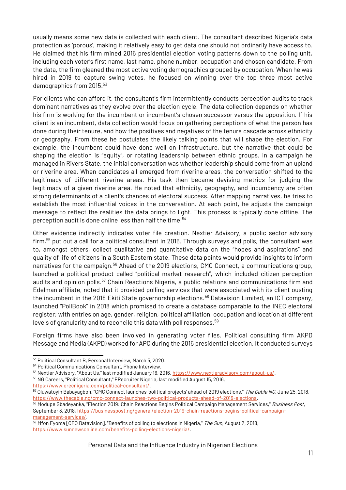usually means some new data is collected with each client. The consultant described Nigeria's data protection as 'porous', making it relatively easy to get data one should not ordinarily have access to. He claimed that his firm mined 2015 presidential election voting patterns down to the polling unit, including each voter's first name, last name, phone number, occupation and chosen candidate. From the data, the firm gleaned the most active voting demographics grouped by occupation. When he was hired in 2019 to capture swing votes, he focused on winning over the top three most active demographics from 2015.<sup>[53](#page-10-0)</sup>

For clients who can afford it, the consultant's firm intermittently conducts perception audits to track dominant narratives as they evolve over the election cycle. The data collection depends on whether his firm is working for the incumbent or incumbent's chosen successor versus the opposition. If his client is an incumbent, data collection would focus on gathering perceptions of what the person has done during their tenure, and how the positives and negatives of the tenure cascade across ethnicity or geography. From these he postulates the likely talking points that will shape the election. For example, the incumbent could have done well on infrastructure, but the narrative that could be shaping the election is "equity", or rotating leadership between ethnic groups. In a campaign he managed in Rivers State, the initial conversation was whether leadership should come from an upland or riverine area. When candidates all emerged from riverine areas, the conversation shifted to the legitimacy of different riverine areas. His task then became devising metrics for judging the legitimacy of a given riverine area. He noted that ethnicity, geography, and incumbency are often strong determinants of a client's chances of electoral success. After mapping narratives, he tries to establish the most influential voices in the conversation. At each point, he adjusts the campaign message to reflect the realities the data brings to light. This process is typically done offline. The perception audit is done online less than half the time.<sup>[54](#page-10-1)</sup>

Other evidence indirectly indicates voter file creation. Nextier Advisory, a public sector advisory firm,[55](#page-10-2) put out a call for a political consultant in 2016. Through surveys and polls, the consultant was to, amongst others, collect qualitative and quantitative data on the "hopes and aspirations" and quality of life of citizens in a South Eastern state. These data points would provide insights to inform narratives for the campaign.<sup>[56](#page-10-3)</sup> Ahead of the 2019 elections, CMC Connect, a communications group, launched a political product called "political market research", which included citizen perception audits and opinion polls.<sup>[57](#page-10-4)</sup> Chain Reactions Nigeria, a public relations and communications firm and Edelman affiliate, noted that it provided polling services that were associated with its client ousting the incumbent in the 2018 Ekiti State governorship elections.<sup>[58](#page-10-5)</sup> Datavision Limited, an ICT company, launched "PollBook" in 2018 which promised to create a database comparable to the INEC electoral register; with entries on age, gender, religion, political affiliation, occupation and location at different levels of granularity and to reconcile this data with poll responses.<sup>[59](#page-10-6)</sup>

Foreign firms have also been involved in generating voter files. Political consulting firm AKPD Message and Media (AKPD) worked for APC during the 2015 presidential election. It conducted surveys

<span id="page-10-0"></span><sup>53</sup> Political Consultant B, Personal Interview, March 5, 2020.

<span id="page-10-1"></span><sup>54</sup> Political Communications Consultant, Phone Interview.

<span id="page-10-2"></span><sup>&</sup>lt;sup>55</sup> Nextier Advisory, "About Us," last modified January 16, 2016, <https://www.nextieradvisory.com/about-us/>.

<span id="page-10-3"></span><sup>56</sup> NG Careers, "Political Consultant," ERecruiter Nigeria, last modified August 15, 2016, <https://www.erecnigeria.com/political-consultant/>.

<span id="page-10-4"></span><sup>&</sup>lt;sup>57</sup> Oluwatovin Babayaqbon, "CMC Connect launches 'political projects' ahead of 2019 elections," The Cable NG, June 25, 2018, [https://www.thecable.ng/cmc-connect-launches-two-political-products-ahead-of-2019-elections.](https://www.thecable.ng/cmc-connect-launches-two-political-products-ahead-of-2019-elections)

<span id="page-10-5"></span><sup>58</sup> Modupe Gbadeyanka, "Election 2019: Chain Reactions Begins Political Campaign Management Services," Business Post, September 3, 2018, [https://businesspost.ng/general/election-2019-chain-reactions-begins-political-campaign](https://businesspost.ng/general/election-2019-chain-reactions-begins-political-campaign-management-services/)[management-services/](https://businesspost.ng/general/election-2019-chain-reactions-begins-political-campaign-management-services/).

<span id="page-10-6"></span><sup>59</sup> Mfon Eyoma [CEO Datavision], "Benefits of polling to elections in Nigeria," The Sun, August 2, 2018, [https://www.sunnewsonline.com/benefits-polling-elections-nigeria/.](https://www.sunnewsonline.com/benefits-polling-elections-nigeria/)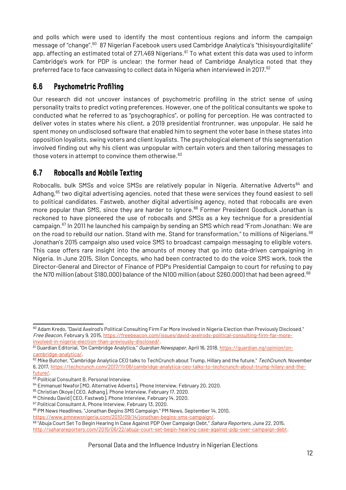and polls which were used to identify the most contentious regions and inform the campaign message of "change".<sup>[60](#page-11-2)</sup> 87 Nigerian Facebook users used Cambridge Analytica's "thisisyourdigitallife" app, affecting an estimated total of 271,469 Nigerians.<sup>[61](#page-11-3)</sup> To what extent this data was used to inform Cambridge's work for PDP is unclear; the former head of Cambridge Analytica noted that they preferred face to face canvassing to collect data in Nigeria when interviewed in 2017.<sup>[62](#page-11-4)</sup>

### <span id="page-11-1"></span>6.6 Psychometric Profiling

Our research did not uncover instances of psychometric profiling in the strict sense of using personality traits to predict voting preferences. However, one of the political consultants we spoke to conducted what he referred to as "psychographics", or polling for perception. He was contracted to deliver votes in states where his client, a 2019 presidential frontrunner, was unpopular. He said he spent money on undisclosed software that enabled him to segment the voter base in these states into opposition loyalists, swing voters and client loyalists. The psychological element of this segmentation involved finding out why his client was unpopular with certain voters and then tailoring messages to those voters in attempt to convince them otherwise. $63$ 

### <span id="page-11-0"></span>6.7 Robocalls and Mobile Texting

Robocalls, bulk SMSs and voice SMSs are relatively popular in Nigeria. Alternative Adverts<sup>[64](#page-11-6)</sup> and Adhang,<sup>[65](#page-11-7)</sup> two digital advertising agencies, noted that these were services they found easiest to sell to political candidates. Fastweb, another digital advertising agency, noted that robocalls are even more popular than SMS, since they are harder to ignore.<sup>[66](#page-11-8)</sup> Former President Goodluck Jonathan is reckoned to have pioneered the use of robocalls and SMSs as a key technique for a presidential campaign.[67](#page-11-9) In 2011 he launched his campaign by sending an SMS which read "From Jonathan: We are on the road to rebuild our nation. Stand with me. Stand for transformation," to millions of Nigerians.<sup>[68](#page-11-10)</sup> Jonathan's 2015 campaign also used voice SMS to broadcast campaign messaging to eligible voters. This case offers rare insight into the amounts of money that go into data-driven campaigning in Nigeria. In June 2015, Silon Concepts, who had been contracted to do the voice SMS work, took the Director-General and Director of Finance of PDP's Presidential Campaign to court for refusing to pay the N70 million (about \$180,000) balance of the N100 million (about \$260,000) that had been agreed.<sup>[69](#page-11-11)</sup>

<span id="page-11-4"></span>62 Mike Butcher, "Cambridge Analytica CEO talks to TechCrunch about Trump, Hillary and the future," TechCrunch, November 6, 2017, [https://techcrunch.com/2017/11/06/cambridge-analytica-ceo-talks-to-techcrunch-about-trump-hilary-and-the](https://techcrunch.com/2017/11/06/cambridge-analytica-ceo-talks-to-techcrunch-about-trump-hilary-and-the-future/)[future/.](https://techcrunch.com/2017/11/06/cambridge-analytica-ceo-talks-to-techcrunch-about-trump-hilary-and-the-future/)

<span id="page-11-2"></span><sup>60</sup> Adam Kredo, "David Axelrod's Political Consulting Firm Far More Involved in Nigeria Election than Previously Disclosed," Free Beacon, February 9, 2015, [https://freebeacon.com/issues/david-axelrods-political-consulting-firm-far-more](https://freebeacon.com/issues/david-axelrods-political-consulting-firm-far-more-involved-in-nigeria-election-than-previously-disclosed/)[involved-in-nigeria-election-than-previously-disclosed/](https://freebeacon.com/issues/david-axelrods-political-consulting-firm-far-more-involved-in-nigeria-election-than-previously-disclosed/).

<span id="page-11-3"></span><sup>61</sup> Guardian Editorial, "On Cambridge Analytica," *Guardian Newspaper*, April 16, 2018, [https://guardian.ng/opinion/on](https://guardian.ng/opinion/on-cambridge-analytica/)[cambridge-analytica/.](https://guardian.ng/opinion/on-cambridge-analytica/)

<span id="page-11-5"></span><sup>63</sup> Political Consultant B, Personal Interview.

<span id="page-11-6"></span><sup>64</sup> Emmanuel Nwafor [MD, Alternative Adverts], Phone Interview, February 20, 2020.

<span id="page-11-7"></span><sup>&</sup>lt;sup>65</sup> Christian Okoye [CEO, Adhang], Phone Interview, February 17, 2020.

<span id="page-11-8"></span><sup>66</sup> Chinedu David [CEO, Fastweb], Phone Interview, February 14, 2020.

<span id="page-11-9"></span><sup>67</sup> Political Consultant A, Phone Interview, February 13, 2020.

<span id="page-11-10"></span><sup>68</sup> PM News Headlines, "Jonathan Begins SMS Campaign," PM News, September 14, 2010,

<https://www.pmnewsnigeria.com/2010/09/14/jonathan-begins-sms-campaign/>.

<span id="page-11-11"></span><sup>69 &</sup>quot;Abuja Court Set To Begin Hearing In Case Against PDP Over Campaign Debt," Sahara Reporters, June 22, 2015, <http://saharareporters.com/2015/06/22/abuja-court-set-begin-hearing-case-against-pdp-over-campaign-debt>.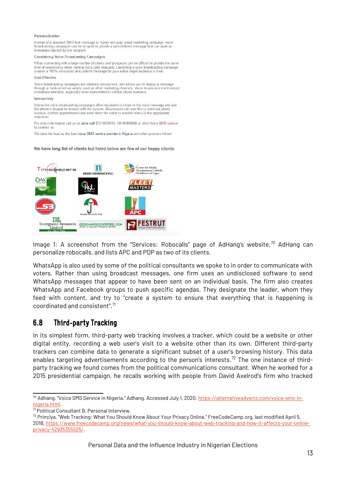#### Personalization

Instead of a standard SMS text message or 'spray and pray' email marketing campaign, voice broadcasting campaigns can be scripted to provide a personalized message that can peak an immediate interest by the recipient.

#### **Consistency Voice Broadcasting Campaigns**

When connecting with a large number of clients and prospects can be difficult to provide the same level of consistency when making voice calls manually. Launching a voice broadcasting campaign creates a 100% consistent and uniform message for your entire target audience to hear

#### Cost Effective

Voice broadcasting campaigns are relatively inexpensive, and allows you to deploy a message<br>through a medium not as widely used as other marketing channels. Voice broadcasts merit almost<br>immediate attention, especially whe

#### Interactivity

Interactive voice broadcasting campaigns allow recipients to listen to the voice message and use the phone's keypad to interact with the system. Businesses can use this to send out phone<br>surveys, confirm appointments and even direct the caller to another menu or the appropriate extension

For more information call us on price call 07014039333, 08140806869 or click Voice SMS service to contact us

We take the lead as the best voice SMS service provider in Nigeria and other providers follow!

#### We have long list of clients but listed below are few of our happy clients



Image 1: A screenshot from the "Services: Robocalls" page of AdHang's website.<sup>[70](#page-12-1)</sup> AdHang can personalize robocalls, and lists APC and PDP as two of its clients.

WhatsApp is also used by some of the political consultants we spoke to in order to communicate with voters. Rather than using broadcast messages, one firm uses an undisclosed software to send WhatsApp messages that appear to have been sent on an individual basis. The firm also creates WhatsApp and Facebook groups to push specific agendas. They designate the leader, whom they feed with content, and try to "create a system to ensure that everything that is happening is coordinated and consistent".[71](#page-12-2)

### <span id="page-12-0"></span>6.8 Third-party Tracking

In its simplest form, third-party web tracking involves a tracker, which could be a website or other digital entity, recording a web user's visit to a website other than its own. Different third-party trackers can combine data to generate a significant subset of a user's browsing history. This data enables targeting advertisements according to the person's interests.<sup>[72](#page-12-3)</sup> The one instance of thirdparty tracking we found comes from the political communications consultant. When he worked for a 2015 presidential campaign, he recalls working with people from David Axelrod's firm who tracked

<span id="page-12-1"></span><sup>&</sup>lt;sup>70</sup> Adhang. "Voice SMS Service in Nigeria." Adhang. Accessed July 1, 2020. [https://alternativeadverts.com/voice-sms-in](https://alternativeadverts.com/voice-sms-in-nigeria.html)[nigeria.html.](https://alternativeadverts.com/voice-sms-in-nigeria.html)

<span id="page-12-2"></span> $71$  Political Consultant B, Personal Interview.

<span id="page-12-3"></span><sup>72</sup> Princiya, "Web Tracking: What You Should Know About Your Privacy Online," FreeCodeCamp.org, last modified April 5, 2018, [https://www.freecodecamp.org/news/what-you-should-know-about-web-tracking-and-how-it-affects-your-online](https://www.freecodecamp.org/news/what-you-should-know-about-web-tracking-and-how-it-affects-your-online-privacy-42935355525/)[privacy-42935355525/.](https://www.freecodecamp.org/news/what-you-should-know-about-web-tracking-and-how-it-affects-your-online-privacy-42935355525/)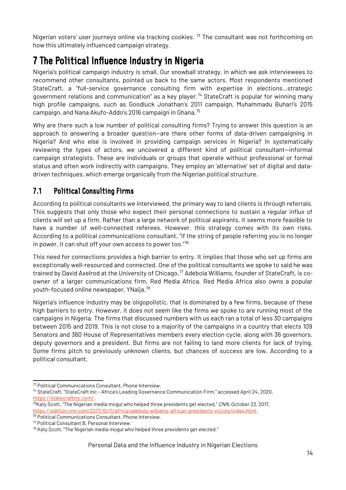Nigerian voters' user journeys online via tracking cookies. <sup>[73](#page-13-2)</sup> The consultant was not forthcoming on how this ultimately influenced campaign strategy.

## <span id="page-13-1"></span>7 The Political Influence Industry in Nigeria

Nigeria's political campaign industry is small. Our snowball strategy, in which we ask interviewees to recommend other consultants, pointed us back to the same actors. Most respondents mentioned StateCraft, a "full-service governance consulting firm with expertise in elections…strategic government relations and communication" as a key player.<sup>[74](#page-13-3)</sup> StateCraft is popular for winning many high profile campaigns, such as Goodluck Jonathan's 2011 campaign, Muhammadu Buhari's 2015 campaign, and Nana Akufo-Addo's 2016 campaign in Ghana. $^{75}$  $^{75}$  $^{75}$ 

Why are there such a low number of political consulting firms? Trying to answer this question is an approach to answering a broader question—are there other forms of data-driven campaigning in Nigeria? And who else is involved in providing campaign services in Nigeria? In systematically reviewing the types of actors, we uncovered a different kind of political consultant—informal campaign strategists. These are individuals or groups that operate without professional or formal status and often work indirectly with campaigns. They employ an 'alternative' set of digital and datadriven techniques, which emerge organically from the Nigerian political structure.

### <span id="page-13-0"></span>7.1 Political Consulting Firms

According to political consultants we interviewed, the primary way to land clients is through referrals. This suggests that only those who expect their personal connections to sustain a regular influx of clients will set up a firm. Rather than a large network of political aspirants, it seems more feasible to have a number of well-connected referees. However, this strategy comes with its own risks. According to a political communications consultant, "if the string of people referring you is no longer in power, it can shut off your own access to power too."[76](#page-13-5)

This need for connections provides a high barrier to entry. It implies that those who set up firms are exceptionally well-resourced and connected. One of the political consultants we spoke to said he was trained by David Axelrod at the University of Chicago.<sup>[77](#page-13-6)</sup> Adebola Williams, founder of StateCraft, is coowner of a larger communications firm, Red Media Africa. Red Media Africa also owns a popular youth-focused online newspaper, YNaija.[78](#page-13-7)

Nigeria's influence industry may be oligopolistic, that is dominated by a few firms, because of these high barriers to entry. However, it does not seem like the firms we spoke to are running most of the campaigns in Nigeria. The firms that discussed numbers with us each ran a total of less 30 campaigns between 2015 and 2019. This is not close to a majority of the campaigns in a country that elects 109 Senators and 360 House of Representatives members every election cycle, along with 36 governors, deputy governors and a president. But firms are not failing to land more clients for lack of trying. Some firms pitch to previously unknown clients, but chances of success are low. According to a political consultant,

<span id="page-13-2"></span><sup>73</sup> Political Communications Consultant, Phone Interview.

<span id="page-13-3"></span><sup>74</sup> StateCraft, "StateCraft Inc – Africa's Leading Governance Communication Firm," accessed April 24, 2020, <https://statecraftinc.com/>.

<span id="page-13-4"></span> $^{75}$ Katy Scott, "The Nigerian media mogul who helped three presidents get elected," CNN, October 23, 2017, [https://edition.cnn.com/2017/10/11/africa/adebola-williams-african-presidents-victory/index.html.](https://edition.cnn.com/2017/10/11/africa/adebola-williams-african-presidents-victory/index.html)

<span id="page-13-5"></span><sup>76</sup> Political Communications Consultant, Phone Interview.

<span id="page-13-6"></span><sup>77</sup> Political Consultant B, Personal Interview.

<span id="page-13-7"></span> $78$  Katy Scott, "The Nigerian media mogul who helped three presidents get elected."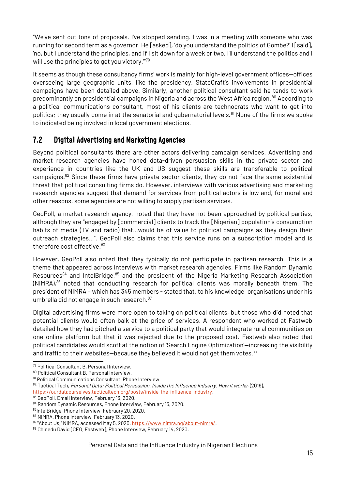"We've sent out tons of proposals. I've stopped sending. I was in a meeting with someone who was running for second term as a governor. He [asked], 'do you understand the politics of Gombe?' I [said], 'no, but I understand the principles, and if I sit down for a week or two, I'll understand the politics and I will use the principles to get you victory."<sup>[79](#page-14-1)</sup>

It seems as though these consultancy firms' work is mainly for high-level government offices—offices overseeing large geographic units, like the presidency. StateCraft's involvements in presidential campaigns have been detailed above. Similarly, another political consultant said he tends to work predominantly on presidential campaigns in Nigeria and across the West Africa region.<sup>[80](#page-14-2)</sup> According to a political communications consultant, most of his clients are technocrats who want to get into politics; they usually come in at the senatorial and qubernatorial levels.<sup>[81](#page-14-3)</sup> None of the firms we spoke to indicated being involved in local government elections.

### <span id="page-14-0"></span>7.2 Digital Advertising and Marketing Agencies

Beyond political consultants there are other actors delivering campaign services. Advertising and market research agencies have honed data-driven persuasion skills in the private sector and experience in countries like the UK and US suggest these skills are transferable to political campaigns.[82](#page-14-4) Since these firms have private sector clients, they do not face the same existential threat that political consulting firms do. However, interviews with various advertising and marketing research agencies suggest that demand for services from political actors is low and, for moral and other reasons, some agencies are not willing to supply partisan services.

GeoPoll, a market research agency, noted that they have not been approached by political parties, although they are "engaged by [commercial] clients to track the [Nigerian] population's consumption habits of media (TV and radio) that…would be of value to political campaigns as they design their outreach strategies…". GeoPoll also claims that this service runs on a subscription model and is therefore cost effective.<sup>[83](#page-14-5)</sup>

However, GeoPoll also noted that they typically do not participate in partisan research. This is a theme that appeared across interviews with market research agencies. Firms like Random Dynamic Resources<sup>[84](#page-14-6)</sup> and IntelBridge,  $85$  and the president of the Nigeria Marketing Research Association  $(NIMRA)<sup>86</sup>$  $(NIMRA)<sup>86</sup>$  $(NIMRA)<sup>86</sup>$  noted that conducting research for political clients was morally beneath them. The president of NIMRA – which has 345 members - stated that, to his knowledge, organisations under his umbrella did not engage in such research.<sup>[87](#page-14-9)</sup>

Digital advertising firms were more open to taking on political clients, but those who did noted that potential clients would often balk at the price of services. A respondent who worked at Fastweb detailed how they had pitched a service to a political party that would integrate rural communities on one online platform but that it was rejected due to the proposed cost. Fastweb also noted that political candidates would scoff at the notion of 'Search Engine Optimization'—increasing the visibility and traffic to their websites-because they believed it would not get them votes.<sup>[88](#page-14-10)</sup>

<span id="page-14-1"></span><sup>79</sup> Political Consultant B, Personal Interview.

<span id="page-14-2"></span><sup>80</sup> Political Consultant B, Personal Interview.

<span id="page-14-3"></span><sup>81</sup> Political Communications Consultant, Phone Interview.

<span id="page-14-4"></span><sup>82</sup> Tactical Tech, Personal Data: Political Persuasion. Inside the Influence Industry. How it works, (2019), <https://ourdataourselves.tacticaltech.org/posts/inside-the-influence-industry>.

<span id="page-14-5"></span><sup>83</sup> GeoPoll, Email Interview, February 13, 2020.

<span id="page-14-6"></span><sup>84</sup> Random Dynamic Resources, Phone Interview, February 13, 2020.

<span id="page-14-7"></span><sup>85</sup>IntelBridge, Phone Interview, February 20, 2020.

<span id="page-14-8"></span><sup>86</sup> NIMRA, Phone Interview, February 13, 2020.

<span id="page-14-9"></span><sup>87 &</sup>quot;About Us," NIMRA, accessed May 5, 2020, [https://www.nimra.ng/about-nimra/.](https://www.nimra.ng/about-nimra/)

<span id="page-14-10"></span><sup>88</sup> Chinedu David [CEO, Fastweb], Phone Interview, February 14, 2020.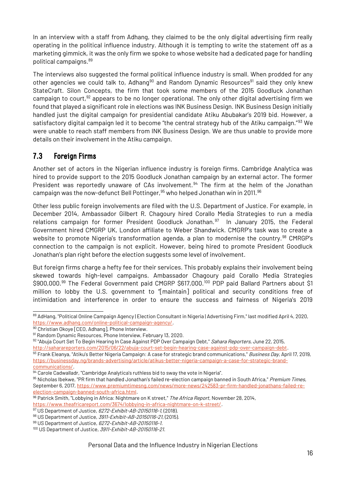In an interview with a staff from Adhang, they claimed to be the only digital advertising firm really operating in the political influence industry. Although it is tempting to write the statement off as a marketing gimmick, it was the only firm we spoke to whose website had a dedicated page for handling political campaigns.[89](#page-15-1)

The interviews also suggested the formal political influence industry is small. When prodded for any other agencies we could talk to, Adhang<sup>[90](#page-15-2)</sup> and Random Dynamic Resources<sup>[91](#page-15-3)</sup> said they only knew StateCraft. Silon Concepts, the firm that took some members of the 2015 Goodluck Jonathan campaign to court,  $92$  appears to be no longer operational. The only other digital advertising firm we found that played a significant role in elections was INK Business Design. INK Business Design initially handled just the digital campaign for presidential candidate Atiku Abubakar's 2019 bid. However, a satisfactory digital campaign led it to become "the central strategy hub of the Atiku campaign."<sup>[93](#page-15-5)</sup> We were unable to reach staff members from INK Business Design. We are thus unable to provide more details on their involvement in the Atiku campaign.

### <span id="page-15-0"></span>7.3 Foreign Firms

Another set of actors in the Nigerian influence industry is foreign firms. Cambridge Analytica was hired to provide support to the 2015 Goodluck Jonathan campaign by an external actor. The former President was reportedly unaware of CAs involvement.<sup>[94](#page-15-6)</sup> The firm at the helm of the Jonathan campaign was the now-defunct Bell Pottinger, <sup>[95](#page-15-7)</sup> who helped Jonathan win in 2011.<sup>[96](#page-15-8)</sup>

Other less public foreign involvements are filed with the U.S. Department of Justice. For example, in December 2014, Ambassador Gilbert R. Chagoury hired Corallo Media Strategies to run a media relations campaign for former President Goodluck Jonathan.<sup>[97](#page-15-9)</sup> In January 2015, the Federal Government hired CMGRP UK, London affiliate to Weber Shandwick. CMGRP's task was to create a website to promote Nigeria's transformation agenda, a plan to modernise the country.<sup>[98](#page-15-10)</sup> CMRGP's connection to the campaign is not explicit. However, being hired to promote President Goodluck Jonathan's plan right before the election suggests some level of involvement.

But foreign firms charge a hefty fee for their services. This probably explains their involvement being skewed towards high-level campaigns. Ambassador Chagoury paid Corallo Media Strategies \$900,000.<sup>[99](#page-15-11)</sup> The Federal Government paid CMGRP \$617,000.<sup>[100](#page-15-12)</sup> PDP paid Ballard Partners about \$1 million to lobby the U.S. government to "[maintain] political and security conditions free of intimidation and interference in order to ensure the success and fairness of Nigeria's 2019

<span id="page-15-1"></span><sup>89</sup> AdHang, "Political Online Campaign Agency | Election Consultant in Nigeria | Advertising Firm," last modified April 4, 2020, [https://www.adhang.com/online-political-campaign-agency/.](https://www.adhang.com/online-political-campaign-agency/)

<span id="page-15-2"></span><sup>90</sup> Christian Okoye [CEO, Adhang], Phone Interview.

<span id="page-15-3"></span><sup>91</sup> Random Dynamic Resources, Phone Interview, February 13, 2020.

<span id="page-15-4"></span><sup>92 &</sup>quot;Abuja Court Set To Begin Hearing In Case Against PDP Over Campaign Debt," Sahara Reporters, June 22, 2015, <http://saharareporters.com/2015/06/22/abuja-court-set-begin-hearing-case-against-pdp-over-campaign-debt>.

<span id="page-15-5"></span><sup>93</sup> Frank Eleanya, "Atiku's Better Nigeria Campaign: A case for strategic brand communications," Business Day, April 17, 2019, [https://businessday.ng/brands-advertising/article/atikus-better-nigeria-campaign-a-case-for-strategic-brand](https://businessday.ng/brands-advertising/article/atikus-better-nigeria-campaign-a-case-for-strategic-brand-communications/)[communications/.](https://businessday.ng/brands-advertising/article/atikus-better-nigeria-campaign-a-case-for-strategic-brand-communications/)

<span id="page-15-6"></span> $94$  Carole Cadwalladr, "Cambridge Analytica's ruthless bid to sway the vote in Nigeria".

<span id="page-15-7"></span><sup>95</sup> Nicholas Ibekwe, "PR firm that handled Jonathan's failed re-election campaign banned in South Africa," Premium Times, September 6, 2017, [https://www.premiumtimesng.com/news/more-news/242583-pr-firm-handled-jonathans-failed-re](https://www.premiumtimesng.com/news/more-news/242583-pr-firm-handled-jonathans-failed-re-election-campaign-banned-south-africa.html)[election-campaign-banned-south-africa.html.](https://www.premiumtimesng.com/news/more-news/242583-pr-firm-handled-jonathans-failed-re-election-campaign-banned-south-africa.html)

<span id="page-15-8"></span><sup>&</sup>lt;sup>96</sup> Patrick Smith, "Lobbying in Africa: Nightmare on K street," *The Africa Report*, November 28, 2014, [https://www.theafricareport.com/3674/lobbying-in-africa-nightmare-on-k-street/.](https://www.theafricareport.com/3674/lobbying-in-africa-nightmare-on-k-street/)

<span id="page-15-9"></span><sup>97</sup> US Department of Justice, 6272-Exhibit-AB-20150116-1, (2018).

<span id="page-15-10"></span><sup>98</sup> US Department of Justice, 3911-Exhibit-AB-20150116-21, (2015).

<span id="page-15-11"></span><sup>99</sup> US Department of Justice, 6272-Exhibit-AB-20150116-1.

<span id="page-15-12"></span><sup>&</sup>lt;sup>100</sup> US Department of Justice, 3911-Exhibit-AB-20150116-21.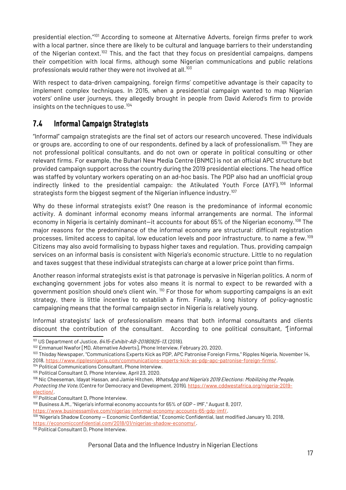presidential election."[101](#page-16-1) According to someone at Alternative Adverts, foreign firms prefer to work with a local partner, since there are likely to be cultural and language barriers to their understanding of the Nigerian context.<sup>[102](#page-16-2)</sup> This, and the fact that they focus on presidential campaigns, dampens their competition with local firms, although some Nigerian communications and public relations professionals would rather they were not involved at all.<sup>[103](#page-16-3)</sup>

With respect to data-driven campaigning, foreign firms' competitive advantage is their capacity to implement complex techniques. In 2015, when a presidential campaign wanted to map Nigerian voters' online user journeys, they allegedly brought in people from David Axlerod's firm to provide insights on the techniques to use.<sup>[104](#page-16-4)</sup>

### <span id="page-16-0"></span>7.4 Informal Campaign Strategists

"Informal" campaign strategists are the final set of actors our research uncovered. These individuals or groups are, according to one of our respondents, defined by a lack of professionalism. <sup>[105](#page-16-5)</sup> They are not professional political consultants, and do not own or operate in political consulting or other relevant firms. For example, the Buhari New Media Centre (BNMC) is not an official APC structure but provided campaign support across the country during the 2019 presidential elections. The head office was staffed by voluntary workers operating on an ad-hoc basis. The PDP also had an unofficial group indirectly linked to the presidential campaign: the Atikulated Youth Force (AYF).<sup>[106](#page-16-6)</sup> Informal strategists form the biggest segment of the Nigerian influence industry.<sup>[107](#page-16-7)</sup>

Why do these informal strategists exist? One reason is the predominance of informal economic activity. A dominant informal economy means informal arrangements are normal. The informal economy in Nigeria is certainly dominant—it accounts for about 65% of the Nigerian economy.<sup>[108](#page-16-8)</sup> The major reasons for the predominance of the informal economy are structural: difficult registration processes, limited access to capital, low education levels and poor infrastructure, to name a few.<sup>[109](#page-16-9)</sup> Citizens may also avoid formalising to bypass higher taxes and regulation. Thus, providing campaign services on an informal basis is consistent with Nigeria's economic structure. Little to no regulation and taxes suggest that these individual strategists can charge at a lower price point than firms.

Another reason informal strategists exist is that patronage is pervasive in Nigerian politics. A norm of exchanging government jobs for votes also means it is normal to expect to be rewarded with a government position should one's client win. <sup>[110](#page-16-10)</sup> For those for whom supporting campaigns is an exit strategy, there is little incentive to establish a firm. Finally, a long history of policy-agnostic campaigning means that the formal campaign sector in Nigeria is relatively young.

Informal strategists' lack of professionalism means that both informal consultants and clients discount the contribution of the consultant. According to one political consultant, "[informal

<span id="page-16-7"></span>107 Political Consultant D, Phone Interview.

[https://www.businessamlive.com/nigerias-informal-economy-accounts-65-gdp-imf/.](https://www.businessamlive.com/nigerias-informal-economy-accounts-65-gdp-imf/)

<span id="page-16-10"></span><sup>110</sup> Political Consultant D, Phone Interview.

<span id="page-16-1"></span> $101$  US Department of Justice,  $6415$ - $Exhibit$ - $AB$ - $20180925$ - $13$ ,  $(2018)$ .

<span id="page-16-2"></span><sup>102</sup> Emmanuel Nwafor [MD, Alternative Adverts], Phone Interview, February 20, 2020.

<span id="page-16-3"></span><sup>&</sup>lt;sup>103</sup> Thisday Newspaper, "Communications Experts Kick as PDP, APC Patronise Foreign Firms," Ripples Nigeria, November 14, 2018, [https://www.ripplesnigeria.com/communications-experts-kick-as-pdp-apc-patronise-foreign-firms/.](https://www.ripplesnigeria.com/communications-experts-kick-as-pdp-apc-patronise-foreign-firms/)

<span id="page-16-4"></span><sup>104</sup> Political Communications Consultant, Phone Interview.

<span id="page-16-5"></span><sup>105</sup> Political Consultant D, Phone Interview, April 23, 2020.

<span id="page-16-6"></span><sup>&</sup>lt;sup>106</sup> Nic Cheeseman, Idayat Hassan, and Jamie Hitchen, WhatsApp and Nigeria's 2019 Elections: Mobilizing the People, Protecting the Vote, (Centre for Democracy and Development, 2019), [https://www.cddwestafrica.org/nigeria-2019](https://www.cddwestafrica.org/nigeria-2019-election/) [election/](https://www.cddwestafrica.org/nigeria-2019-election/).

<span id="page-16-8"></span><sup>108</sup> Business A.M., "Nigeria's informal economy accounts for 65% of GDP - IMF," August 8, 2017,

<span id="page-16-9"></span><sup>&</sup>lt;sup>109</sup> "Nigeria's Shadow Economy — Economic Confidential," Economic Confidential, last modified January 10, 2018, <https://economicconfidential.com/2018/01/nigerias-shadow-economy/>.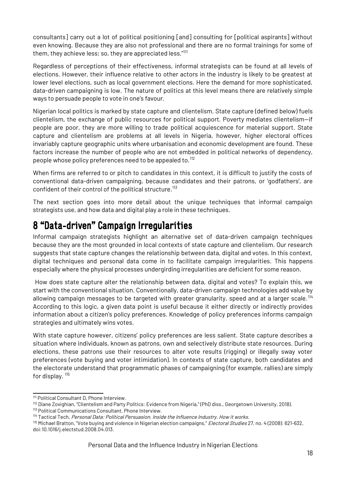consultants] carry out a lot of political positioning [and] consulting for [political aspirants] without even knowing. Because they are also not professional and there are no formal trainings for some of them, they achieve less; so, they are appreciated less."<sup>[111](#page-17-1)</sup>

Regardless of perceptions of their effectiveness, informal strategists can be found at all levels of elections. However, their influence relative to other actors in the industry is likely to be greatest at lower level elections, such as local government elections. Here the demand for more sophisticated, data-driven campaigning is low. The nature of politics at this level means there are relatively simple ways to persuade people to vote in one's favour.

Nigerian local politics is marked by state capture and clientelism. State capture (defined below) fuels clientelism, the exchange of public resources for political support. Poverty mediates clientelism—if people are poor, they are more willing to trade political acquiescence for material support. State capture and clientelism are problems at all levels in Nigeria, however, higher electoral offices invariably capture geographic units where urbanisation and economic development are found. These factors increase the number of people who are not embedded in political networks of dependency, people whose policy preferences need to be appealed to.[112](#page-17-2)

When firms are referred to or pitch to candidates in this context, it is difficult to justify the costs of conventional data-driven campaigning, because candidates and their patrons, or 'godfathers', are confident of their control of the political structure.<sup>[113](#page-17-3)</sup>

The next section goes into more detail about the unique techniques that informal campaign strategists use, and how data and digital play a role in these techniques.

## <span id="page-17-0"></span>8 "Data-driven" Campaign Irregularities

Informal campaign strategists highlight an alternative set of data-driven campaign techniques because they are the most grounded in local contexts of state capture and clientelism. Our research suggests that state capture changes the relationship between data, digital and votes. In this context, digital techniques and personal data come in to facilitate campaign irregularities. This happens especially where the physical processes undergirding irregularities are deficient for some reason.

How does state capture alter the relationship between data, digital and votes? To explain this, we start with the conventional situation. Conventionally, data-driven campaign technologies add value by allowing campaign messages to be targeted with greater granularity, speed and at a larger scale.<sup>[114](#page-17-4)</sup> According to this logic, a given data point is useful because it either directly or indirectly provides information about a citizen's policy preferences. Knowledge of policy preferences informs campaign strategies and ultimately wins votes.

With state capture however, citizens' policy preferences are less salient. State capture describes a situation where individuals, known as patrons, own and selectively distribute state resources. During elections, these patrons use their resources to alter vote results (rigging) or illegally sway voter preferences (vote buying and voter intimidation). In contexts of state capture, both candidates and the electorate understand that programmatic phases of campaigning (for example, rallies) are simply for display.  $115$ 

<span id="page-17-1"></span><sup>111</sup> Political Consultant D, Phone Interview.

<span id="page-17-2"></span><sup>112</sup> Diane Zovighian, "Clientelism and Party Politics: Evidence from Nigeria," (PhD diss., Georgetown University, 2018).

<span id="page-17-3"></span><sup>113</sup> Political Communications Consultant, Phone Interview.

<span id="page-17-4"></span><sup>114</sup> Tactical Tech, Personal Data: Political Persuasion. Inside the Influence Industry. How it works.

<span id="page-17-5"></span><sup>1&</sup>lt;sup>15</sup> Michael Bratton, "Vote buying and violence in Nigerian election campaigns," *Electoral Studies* 27, no. 4 (2008): 621-632, doi:10.1016/j.electstud.2008.04.013.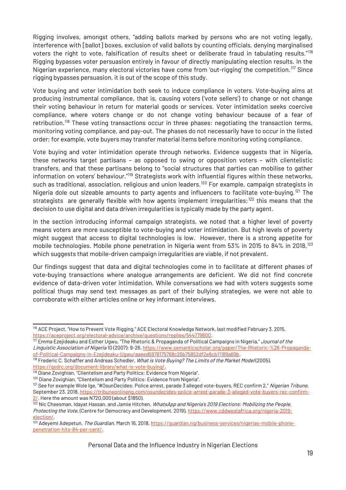Rigging involves, amongst others, "adding ballots marked by persons who are not voting legally, interference with [ballot] boxes, exclusion of valid ballots by counting officials, denying marginalised voters the right to vote, falsification of results sheet or deliberate fraud in tabulating results."[116](#page-18-0) Rigging bypasses voter persuasion entirely in favour of directly manipulating election results. In the Nigerian experience, many electoral victories have come from 'out-rigging' the competition.<sup>[117](#page-18-1)</sup> Since rigging bypasses persuasion, it is out of the scope of this study.

Vote buying and voter intimidation both seek to induce compliance in voters. Vote-buying aims at producing instrumental compliance, that is, causing voters ('vote sellers') to change or not change their voting behaviour in return for material goods or services. Voter intimidation seeks coercive compliance, where voters change or do not change voting behaviour because of a fear of retribution.<sup>[118](#page-18-2)</sup> These voting transactions occur in three phases: negotiating the transaction terms, monitoring voting compliance, and pay-out. The phases do not necessarily have to occur in the listed order; for example, vote buyers may transfer material items before monitoring voting compliance.

Vote buying and voter intimidation operate through networks. Evidence suggests that in Nigeria, these networks target partisans – as opposed to swing or opposition voters – with clientelistic transfers, and that these partisans belong to "social structures that parties can mobilise to gather information on voters' behaviour."<sup>[119](#page-18-3)</sup> Strategists work with influential figures within these networks, such as traditional, association, religious and union leaders.<sup>[120](#page-18-4)</sup> For example, campaign strategists in Nigeria dole out sizeable amounts to party agents and influencers to facilitate vote-buying.<sup>[121](#page-18-5)</sup> The strategists are generally flexible with how agents implement irregularities;<sup>[122](#page-18-6)</sup> this means that the decision to use digital and data driven irregularities is typically made by the party agent.

In the section introducing informal campaign strategists, we noted that a higher level of poverty means voters are more susceptible to vote-buying and voter intimidation. But high levels of poverty might suggest that access to digital technologies is low. However, there is a strong appetite for mobile technologies. Mobile phone penetration in Nigeria went from 53% in 2015 to 84% in 2018,<sup>[123](#page-18-7)</sup> which suggests that mobile-driven campaign irregularities are viable, if not prevalent.

Our findings suggest that data and digital technologies come in to facilitate at different phases of vote-buying transactions where analogue arrangements are deficient. We did not find concrete evidence of data-driven voter intimidation. While conversations we had with voters suggests some political thugs may send text messages as part of their bullying strategies, we were not able to corroborate with either articles online or key informant interviews.

<span id="page-18-0"></span><sup>116</sup> ACE Project, "How to Prevent Vote Rigging," ACE Electoral Knowledge Network, last modified February 3, 2015, <https://aceproject.org/electoral-advice/archive/questions/replies/544779600>.

<span id="page-18-1"></span><sup>&</sup>lt;sup>117</sup> Emma Ezejideaku and Esther Ugwu, "The Rhetoric & Propaganda of Political Campaigns in Nigeria," *Journal of the* Linguistic Association of Nigeria 10 (2007): 9-26, [https://www.semanticscholar.org/paper/The-Rhetoric-%26-Propaganda](https://www.semanticscholar.org/paper/The-Rhetoric-%26-Propaganda-of-Political-Campaigns-In-Ezejideaku-Ugwu/aaeed5978175768c26b75852df2e6cb11189a69b)[of-Political-Campaigns-In-Ezejideaku-Ugwu/aaeed5978175768c26b75852df2e6cb11189a69b](https://www.semanticscholar.org/paper/The-Rhetoric-%26-Propaganda-of-Political-Campaigns-In-Ezejideaku-Ugwu/aaeed5978175768c26b75852df2e6cb11189a69b).

<span id="page-18-2"></span><sup>118</sup> Frederic C. Schaffer and Andreas Schedler, What is Vote Buying? The Limits of the Market Model(2005), <https://gsdrc.org/document-library/what-is-vote-buying/>.

<span id="page-18-3"></span><sup>&</sup>lt;sup>119</sup> Diane Zovighian, "Clientelism and Party Politics: Evidence from Nigeria".

<span id="page-18-4"></span><sup>120</sup> Diane Zovighian, "Clientelism and Party Politics: Evidence from Nigeria".

<span id="page-18-5"></span><sup>&</sup>lt;sup>121</sup> See for example Wole Ige, "#OsunDecides: Police arrest, parade 3 alleged vote-buyers, REC confirm 2," Nigerian Tribune, September 23, 2018, [https://tribuneonlineng.com/osundecides-police-arrest-parade-3-alleged-vote-buyers-rec-confirm-](https://tribuneonlineng.com/osundecides-police-arrest-parade-3-alleged-vote-buyers-rec-confirm-2/) $2/$ . Here the amount was N720,000 (about \$1850).

<span id="page-18-6"></span> $^{\overline{122}}$  Nic Cheesman, Idayat Hassan, and Jamie Hitchen, *WhatsApp and Nigeria's 2019 Elections: Mobilizing the People,* Protecting the Vote, (Centre for Democracy and Development, 2019), [https://www.cddwestafrica.org/nigeria-2019](https://www.cddwestafrica.org/nigeria-2019-election/) [election/](https://www.cddwestafrica.org/nigeria-2019-election/).

<span id="page-18-7"></span><sup>123</sup> Adeyemi Adepetun, The Guardian, March 16, 2018, [https://guardian.ng/business-services/nigerias-mobile-phone](https://guardian.ng/business-services/nigerias-mobile-phone-penetration-hits-84-per-cent/)[penetration-hits-84-per-cent/.](https://guardian.ng/business-services/nigerias-mobile-phone-penetration-hits-84-per-cent/)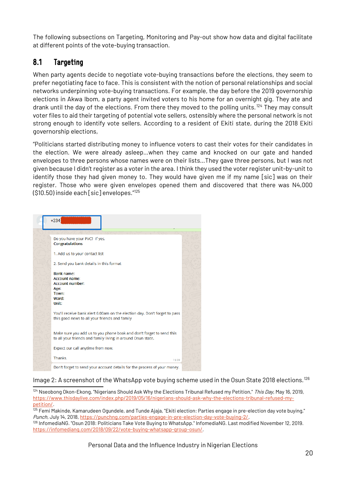The following subsections on Targeting, Monitoring and Pay-out show how data and digital facilitate at different points of the vote-buying transaction.

### <span id="page-19-0"></span>8.1 Targeting

When party agents decide to negotiate vote-buying transactions before the elections, they seem to prefer negotiating face to face. This is consistent with the notion of personal relationships and social networks underpinning vote-buying transactions. For example, the day before the 2019 governorship elections in Akwa Ibom, a party agent invited voters to his home for an overnight gig. They ate and drank until the day of the elections. From there they moved to the polling units.<sup>[124](#page-19-1)</sup> They may consult voter files to aid their targeting of potential vote sellers, ostensibly where the personal network is not strong enough to identify vote sellers. According to a resident of Ekiti state, during the 2018 Ekiti governorship elections,

"Politicians started distributing money to influence voters to cast their votes for their candidates in the election. We were already asleep…when they came and knocked on our gate and handed envelopes to three persons whose names were on their lists…They gave three persons, but I was not given because I didn't register as a voter in the area. I think they used the voter register unit-by-unit to identify those they had given money to. They would have given me if my name [sic] was on their register. Those who were given envelopes opened them and discovered that there was N4,000 (\$10.50) inside each [sic] envelopes."[125](#page-19-2)



### Image 2: A screenshot of the WhatsApp vote buying scheme used in the Osun State 2018 elections.<sup>[126](#page-19-3)</sup>

<span id="page-19-1"></span><sup>124</sup> Nseobong Okon-Ekong, "Nigerians Should Ask Why the Elections Tribunal Refused my Petition," This Day, May 16, 2019, [https://www.thisdaylive.com/index.php/2019/05/16/nigerians-should-ask-why-the-elections-tribunal-refused-my](https://www.thisdaylive.com/index.php/2019/05/16/nigerians-should-ask-why-the-elections-tribunal-refused-my-petition/)[petition/](https://www.thisdaylive.com/index.php/2019/05/16/nigerians-should-ask-why-the-elections-tribunal-refused-my-petition/).

<span id="page-19-2"></span><sup>125</sup> Femi Makinde, Kamarudeen Ogundele, and Tunde Ajaja, "Ekiti election: Parties engage in pre-election day vote buying," Punch, July 14, 2018, <https://punchng.com/parties-engage-in-pre-election-day-vote-buying-2/>.

<span id="page-19-3"></span><sup>126</sup> InfomediaNG. "Osun 2018: Politicians Take Vote Buying to WhatsApp." InfomediaNG. Last modified November 12, 2019. <https://infomediang.com/2018/09/22/vote-buying-whatsapp-group-osun/>.

Personal Data and the Influence Industry in Nigerian Elections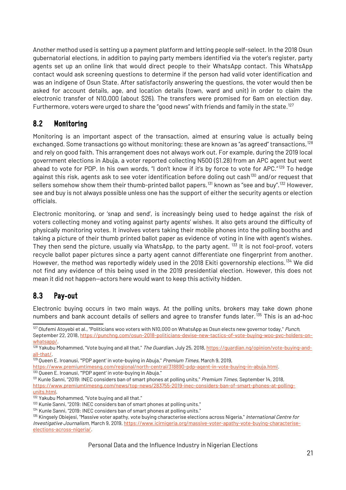Another method used is setting up a payment platform and letting people self-select. In the 2018 Osun gubernatorial elections, in addition to paying party members identified via the voter's register, party agents set up an online link that would direct people to their WhatsApp contact. This WhatsApp contact would ask screening questions to determine if the person had valid voter identification and was an indigene of Osun State. After satisfactorily answering the questions, the voter would then be asked for account details, age, and location details (town, ward and unit) in order to claim the electronic transfer of N10,000 (about \$26). The transfers were promised for 6am on election day. Furthermore, voters were urged to share the "good news" with friends and family in the state.<sup>[127](#page-20-2)</sup>

### <span id="page-20-1"></span>8.2 Monitoring

Monitoring is an important aspect of the transaction, aimed at ensuring value is actually being exchanged. Some transactions go without monitoring; these are known as "as agreed" transactions, <sup>[128](#page-20-3)</sup> and rely on good faith. This arrangement does not always work out. For example, during the 2019 local government elections in Abuja, a voter reported collecting N500 (\$1.28) from an APC agent but went ahead to vote for PDP. In his own words, "I don't know if it's by force to vote for APC."<sup>[129](#page-20-4)</sup> To hedge against this risk, agents ask to see voter identification before doling out cash<sup>[130](#page-20-5)</sup> and/or request that sellers somehow show them their thumb-printed ballot papers,  $^{131}$  $^{131}$  $^{131}$  known as "see and buy".<sup>[132](#page-20-7)</sup> However, see and buy is not always possible unless one has the support of either the security agents or election officials.

Electronic monitoring, or 'snap and send', is increasingly being used to hedge against the risk of voters collecting money and voting against party agents' wishes. It also gets around the difficulty of physically monitoring votes. It involves voters taking their mobile phones into the polling booths and taking a picture of their thumb printed ballot paper as evidence of voting in line with agent's wishes. They then send the picture, usually via WhatsApp, to the party agent. <sup>[133](#page-20-8)</sup> It is not fool-proof, voters recycle ballot paper pictures since a party agent cannot differentiate one fingerprint from another. However, the method was reportedly widely used in the 2018 Ekiti governorship elections.<sup>[134](#page-20-9)</sup> We did not find any evidence of this being used in the 2019 presidential election. However, this does not mean it did not happen—actors here would want to keep this activity hidden.

### <span id="page-20-0"></span>8.3 Pay-out

Electronic buying occurs in two main ways. At the polling units, brokers may take down phone numbers and bank account details of sellers and agree to transfer funds later.<sup>[135](#page-20-10)</sup> This is an ad-hoc

<span id="page-20-6"></span>131 Kunle Sanni, "2019: INEC considers ban of smart phones at polling units," Premium Times, September 14, 2018, [https://www.premiumtimesng.com/news/top-news/283755-2019-inec-considers-ban-of-smart-phones-at-polling-](https://www.premiumtimesng.com/news/top-news/283755-2019-inec-considers-ban-of-smart-phones-at-polling-units.html)

[units.html](https://www.premiumtimesng.com/news/top-news/283755-2019-inec-considers-ban-of-smart-phones-at-polling-units.html).

Personal Data and the Influence Industry in Nigerian Elections

<span id="page-20-2"></span><sup>&</sup>lt;sup>127</sup> Olufemi Atoyebi et al., "Politicians woo voters with N10,000 on WhatsApp as Osun elects new governor today," *Punch*,

September 22, 2018, [https://punchng.com/osun-2018-politicians-devise-new-tactics-of-vote-buying-woo-pvc-holders-on](https://punchng.com/osun-2018-politicians-devise-new-tactics-of-vote-buying-woo-pvc-holders-on-whatsapp/)[whatsapp/](https://punchng.com/osun-2018-politicians-devise-new-tactics-of-vote-buying-woo-pvc-holders-on-whatsapp/).

<span id="page-20-3"></span><sup>128</sup> Yakubu Mohammed, "Vote buying and all that," *The Guardian*, July 25, 2018, <u>https://guardian.ng/opinion/vote-buying-and-</u> [all-that/.](https://guardian.ng/opinion/vote-buying-and-all-that/)

<span id="page-20-4"></span><sup>&</sup>lt;sup>129</sup> Oueen E. Iroanusi, "'PDP agent' in vote-buying in Abuja," *Premium Times*, March 9, 2019,

<span id="page-20-5"></span><https://www.premiumtimesng.com/regional/north-central/318890-pdp-agent-in-vote-buying-in-abuja.html>. <sup>130</sup> Queen E. Iroanusi, "'PDP agent' in vote-buying in Abuja."

<span id="page-20-7"></span><sup>132</sup> Yakubu Mohammed, "Vote buying and all that."

<span id="page-20-8"></span><sup>&</sup>lt;sup>133</sup> Kunle Sanni, "2019: INEC considers ban of smart phones at polling units."

<span id="page-20-9"></span><sup>134</sup> Kunle Sanni, "2019: INEC considers ban of smart phones at polling units."

<span id="page-20-10"></span><sup>&</sup>lt;sup>135</sup> Kingsely Obiejesi, "Massive voter apathy, vote buying characterise elections across Nigeria," *International Centre for* Investigative Journalism, March 9, 2019, [https://www.icirnigeria.org/massive-voter-apathy-vote-buying-characterise](https://www.icirnigeria.org/massive-voter-apathy-vote-buying-characterise-elections-across-nigeria/)[elections-across-nigeria/.](https://www.icirnigeria.org/massive-voter-apathy-vote-buying-characterise-elections-across-nigeria/)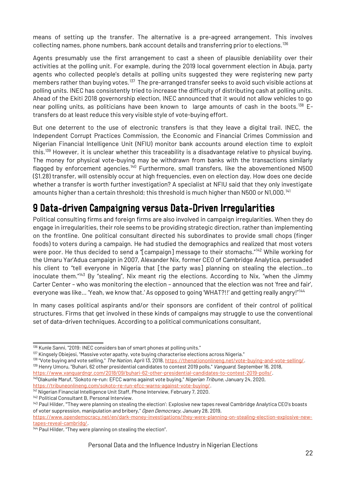means of setting up the transfer. The alternative is a pre-agreed arrangement. This involves collecting names, phone numbers, bank account details and transferring prior to elections.<sup>[136](#page-21-1)</sup>

Agents presumably use the first arrangement to cast a sheen of plausible deniability over their activities at the polling unit. For example, during the 2019 local government election in Abuja, party agents who collected people's details at polling units suggested they were registering new party members rather than buying votes.<sup>[137](#page-21-2)</sup> The pre-arranged transfer seeks to avoid such visible actions at polling units. INEC has consistently tried to increase the difficulty of distributing cash at polling units. Ahead of the Ekiti 2018 governorship election, INEC announced that it would not allow vehicles to go near polling units, as politicians have been known to large amounts of cash in the boots.<sup>[138](#page-21-3)</sup> Etransfers do at least reduce this very visible style of vote-buying effort.

But one deterrent to the use of electronic transfers is that they leave a digital trail. INEC, the Independent Corrupt Practices Commission, the Economic and Financial Crimes Commission and Nigerian Financial Intelligence Unit (NFIU) monitor bank accounts around election time to exploit this.<sup>[139](#page-21-4)</sup> However, it is unclear whether this traceability is a disadvantage relative to physical buying. The money for physical vote-buying may be withdrawn from banks with the transactions similarly flagged by enforcement agencies.<sup>[140](#page-21-5)</sup> Furthermore, small transfers, like the abovementioned N500 (\$1.28) transfer, will ostensibly occur at high frequencies, even on election day. How does one decide whether a transfer is worth further investigation? A specialist at NFIU said that they only investigate amounts higher than a certain threshold; this threshold is much higher than N500 or N1,000.<sup>[141](#page-21-6)</sup>

## <span id="page-21-0"></span>9 Data-driven Campaigning versus Data-Driven Irregularities

Political consulting firms and foreign firms are also involved in campaign irregularities. When they do engage in irregularities, their role seems to be providing strategic direction, rather than implementing on the frontline. One political consultant directed his subordinates to provide small chops (finger foods) to voters during a campaign. He had studied the demographics and realized that most voters were poor. He thus decided to send a "[campaign] message to their stomachs."[142](#page-21-7) While working for the Umaru Yar'Adua campaign in 2007, Alexander Nix, former CEO of Cambridge Analytica, persuaded his client to "tell everyone in Nigeria that [the party was] planning on stealing the election...to inoculate them."<sup>[143](#page-21-8)</sup> By "stealing", Nix meant rig the elections. According to Nix, "when the Jimmy Carter Center – who was monitoring the election – announced that the election was not 'free and fair', everyone was like... 'Yeah, we know that.' As opposed to going 'WHAT?!!' and getting really angry!"<sup>[144](#page-21-9)</sup>

In many cases political aspirants and/or their sponsors are confident of their control of political structures. Firms that get involved in these kinds of campaigns may struggle to use the conventional set of data-driven techniques. According to a political communications consultant,

<span id="page-21-4"></span><span id="page-21-3"></span>138 "Vote buying and vote selling," The Nation, April 13, 2018,<https://thenationonlineng.net/vote-buying-and-vote-selling/>. <sup>139</sup> Henry Umoru, "Buhari, 62 other presidential candidates to contest 2019 polls," *Vanguard*, September 16, 2018, <https://www.vanguardngr.com/2018/09/buhari-62-other-presidential-candidates-to-contest-2019-polls/>.

<span id="page-21-5"></span><sup>140</sup>Olakunle Maruf, "Sokoto re-run: EFCC warns against vote buying," Nigerian Tribune, January 24, 2020, [https://tribuneonlineng.com/sokoto-re-run-efcc-warns-against-vote-buying/.](https://tribuneonlineng.com/sokoto-re-run-efcc-warns-against-vote-buying/)

<span id="page-21-6"></span><sup>141</sup> Nigerian Financial Intelligence Unit Staff, Phone Interview, February 7, 2020. <sup>142</sup> Political Consultant B, Personal Interview.

<span id="page-21-1"></span><sup>136</sup> Kunle Sanni, "2019: INEC considers ban of smart phones at polling units."

<span id="page-21-2"></span><sup>137</sup> Kingsely Obiejesi, "Massive voter apathy, vote buying characterise elections across Nigeria."

<span id="page-21-8"></span><span id="page-21-7"></span><sup>&</sup>lt;sup>143</sup> Paul Hilder, "They were planning on stealing the election': Explosive new tapes reveal Cambridge Analytica CEO's boasts of voter suppression, manipulation and bribery," Open Democracy, January 28, 2019,

[https://www.opendemocracy.net/en/dark-money-investigations/they-were-planning-on-stealing-election-explosive-new](https://www.opendemocracy.net/en/dark-money-investigations/they-were-planning-on-stealing-election-explosive-new-tapes-reveal-cambridg/)[tapes-reveal-cambridg/](https://www.opendemocracy.net/en/dark-money-investigations/they-were-planning-on-stealing-election-explosive-new-tapes-reveal-cambridg/).

<span id="page-21-9"></span><sup>&</sup>lt;sup>144</sup> Paul Hilder, "They were planning on stealing the election".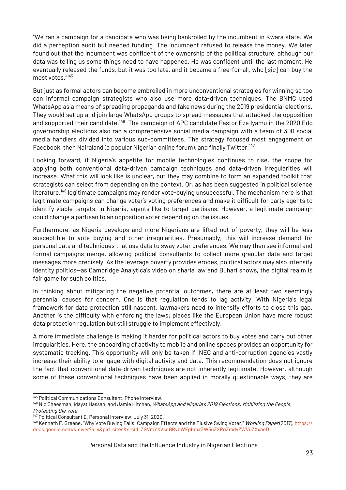"We ran a campaign for a candidate who was being bankrolled by the incumbent in Kwara state. We did a perception audit but needed funding. The incumbent refused to release the money. We later found out that the incumbent was confident of the ownership of the political structure, although our data was telling us some things need to have happened. He was confident until the last moment. He eventually released the funds, but it was too late, and it became a free-for-all, who [sic] can buy the most votes."[145](#page-22-0)

But just as formal actors can become embroiled in more unconventional strategies for winning so too can informal campaign strategists who also use more data-driven techniques. The BNMC used WhatsApp as a means of spreading propaganda and fake news during the 2019 presidential elections. They would set up and join large WhatsApp groups to spread messages that attacked the opposition and supported their candidate.<sup>[146](#page-22-1)</sup> The campaign of APC candidate Pastor Eze Iyamu in the 2020 Edo governorship elections also ran a comprehensive social media campaign with a team of 300 social media handlers divided into various sub-committees. The strategy focused most engagement on Facebook, then Nairaland (a popular Nigerian online forum), and finally Twitter.<sup>[147](#page-22-2)</sup>

Looking forward, if Nigeria's appetite for mobile technologies continues to rise, the scope for applying both conventional data-driven campaign techniques and data-driven irregularities will increase. What this will look like is unclear, but they may combine to form an expanded toolkit that strategists can select from depending on the context. Or, as has been suggested in political science literature,[148](#page-22-3) legitimate campaigns may render vote-buying unsuccessful. The mechanism here is that legitimate campaigns can change voter's voting preferences and make it difficult for party agents to identify viable targets. In Nigeria, agents like to target partisans. However, a legitimate campaign could change a partisan to an opposition voter depending on the issues.

Furthermore, as Nigeria develops and more Nigerians are lifted out of poverty, they will be less susceptible to vote buying and other irregularities. Presumably, this will increase demand for personal data and techniques that use data to sway voter preferences. We may then see informal and formal campaigns merge, allowing political consultants to collect more granular data and target messages more precisely. As the leverage poverty provides erodes, political actors may also intensify identity politics—as Cambridge Analytica's video on sharia law and Buhari shows, the digital realm is fair game for such politics.

In thinking about mitigating the negative potential outcomes, there are at least two seemingly perennial causes for concern. One is that regulation tends to lag activity. With Nigeria's legal framework for data protection still nascent, lawmakers need to intensify efforts to close this gap. Another is the difficulty with enforcing the laws; places like the European Union have more robust data protection regulation but still struggle to implement effectively.

A more immediate challenge is making it harder for political actors to buy votes and carry out other irregularities. Here, the onboarding of activity to mobile and online spaces provides an opportunity for systematic tracking. This opportunity will only be taken if INEC and anti-corruption agencies vastly increase their ability to engage with digital activity and data. This recommendation does not ignore the fact that conventional data-driven techniques are not inherently legitimate. However, although some of these conventional techniques have been applied in morally questionable ways, they are

<span id="page-22-0"></span><sup>145</sup> Political Communications Consultant, Phone Interview.

<span id="page-22-1"></span><sup>&</sup>lt;sup>146</sup> Nic Cheesman, Idayat Hassan, and Jamie Hitchen, *WhatsApp and Nigeria's 2019 Elections: Mobilizing the People,* 

Protecting the Vote.

<span id="page-22-2"></span><sup>&</sup>lt;sup>147</sup> Political Consultant E, Personal Interview, July 31, 2020.

<span id="page-22-3"></span><sup>&</sup>lt;sup>148</sup> Kenneth F. Greene, "Why Vote Buying Fails: Campaign Effects and the Elusive Swing Voter," Working Paper (2017), [https://](https://docs.google.com/viewer?a=v&pid=sites&srcid=ZGVmYXVsdGRvbWFpbnxrZW5uZXRoZmdyZWVuZXxneD) [docs.google.com/viewer?a=v&pid=sites&srcid=ZGVmYXVsdGRvbWFpbnxrZW5uZXRoZmdyZWVuZXxneD](https://docs.google.com/viewer?a=v&pid=sites&srcid=ZGVmYXVsdGRvbWFpbnxrZW5uZXRoZmdyZWVuZXxneD)